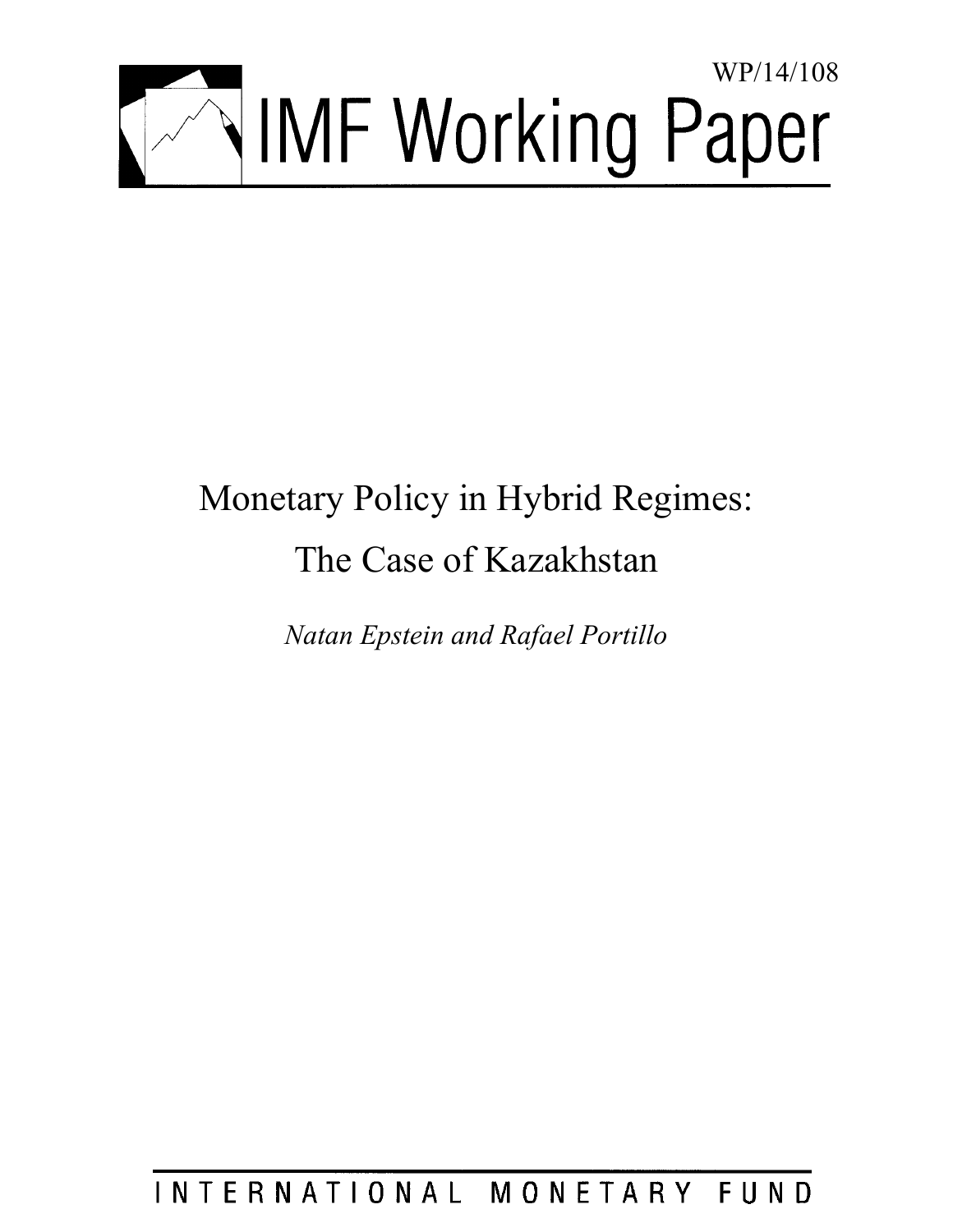

# Monetary Policy in Hybrid Regimes: The Case of Kazakhstan

*Natan Epstein and Rafael Portillo* 

INTERNATIONAL MONETARY FUND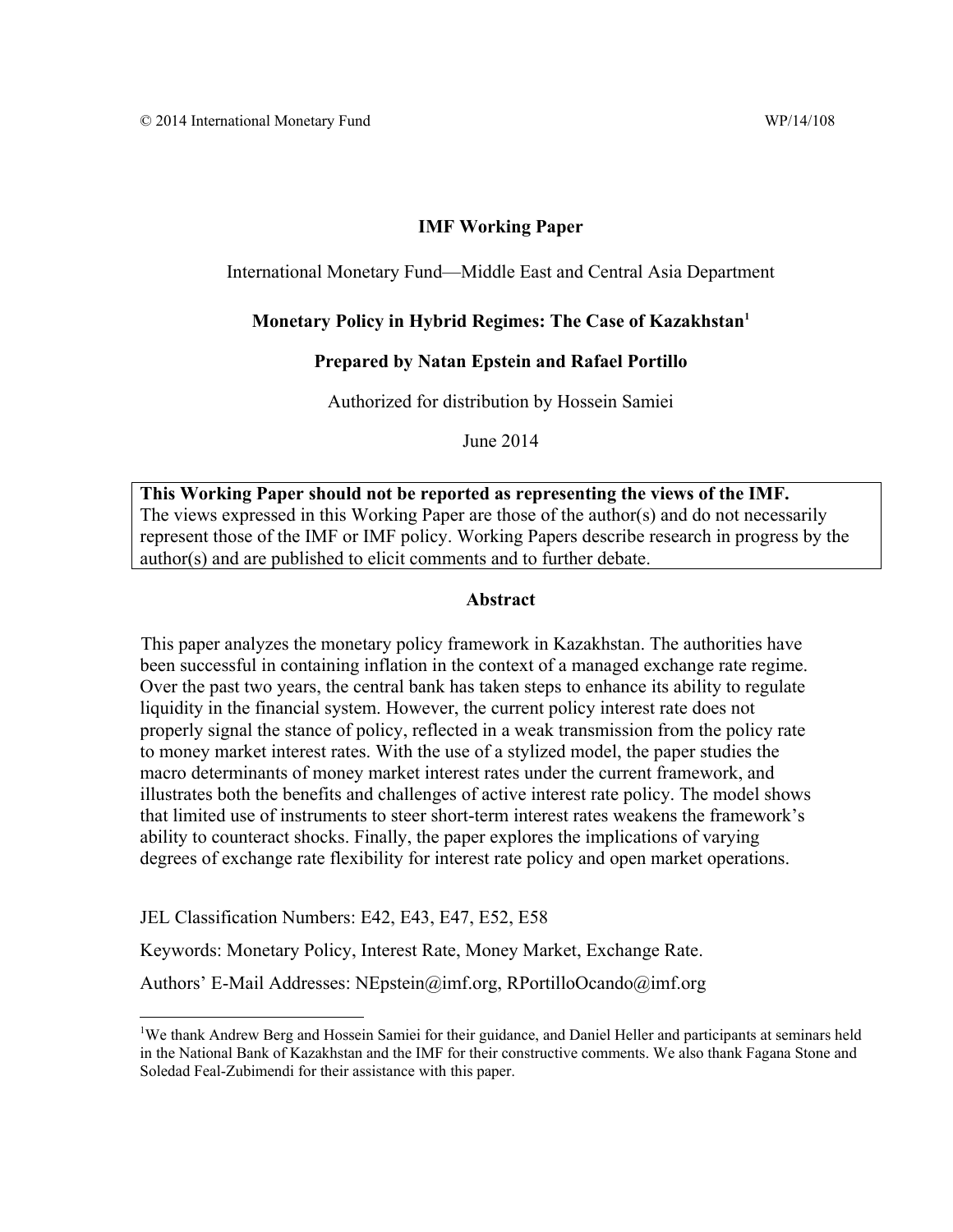## **IMF Working Paper**

International Monetary Fund—Middle East and Central Asia Department

## **Monetary Policy in Hybrid Regimes: The Case of Kazakhstan1**

## **Prepared by Natan Epstein and Rafael Portillo**

Authorized for distribution by Hossein Samiei

June 2014

**This Working Paper should not be reported as representing the views of the IMF.**  The views expressed in this Working Paper are those of the author(s) and do not necessarily represent those of the IMF or IMF policy. Working Papers describe research in progress by the author(s) and are published to elicit comments and to further debate.

## **Abstract**

This paper analyzes the monetary policy framework in Kazakhstan. The authorities have been successful in containing inflation in the context of a managed exchange rate regime. Over the past two years, the central bank has taken steps to enhance its ability to regulate liquidity in the financial system. However, the current policy interest rate does not properly signal the stance of policy, reflected in a weak transmission from the policy rate to money market interest rates. With the use of a stylized model, the paper studies the macro determinants of money market interest rates under the current framework, and illustrates both the benefits and challenges of active interest rate policy. The model shows that limited use of instruments to steer short-term interest rates weakens the framework's ability to counteract shocks. Finally, the paper explores the implications of varying degrees of exchange rate flexibility for interest rate policy and open market operations.

JEL Classification Numbers: E42, E43, E47, E52, E58

Keywords: Monetary Policy, Interest Rate, Money Market, Exchange Rate.

Authors' E-Mail Addresses: NEpstein@imf.org, RPortilloOcando@imf.org

<sup>&</sup>lt;sup>1</sup>We thank Andrew Berg and Hossein Samiei for their guidance, and Daniel Heller and participants at seminars held in the National Bank of Kazakhstan and the IMF for their constructive comments. We also thank Fagana Stone and Soledad Feal-Zubimendi for their assistance with this paper.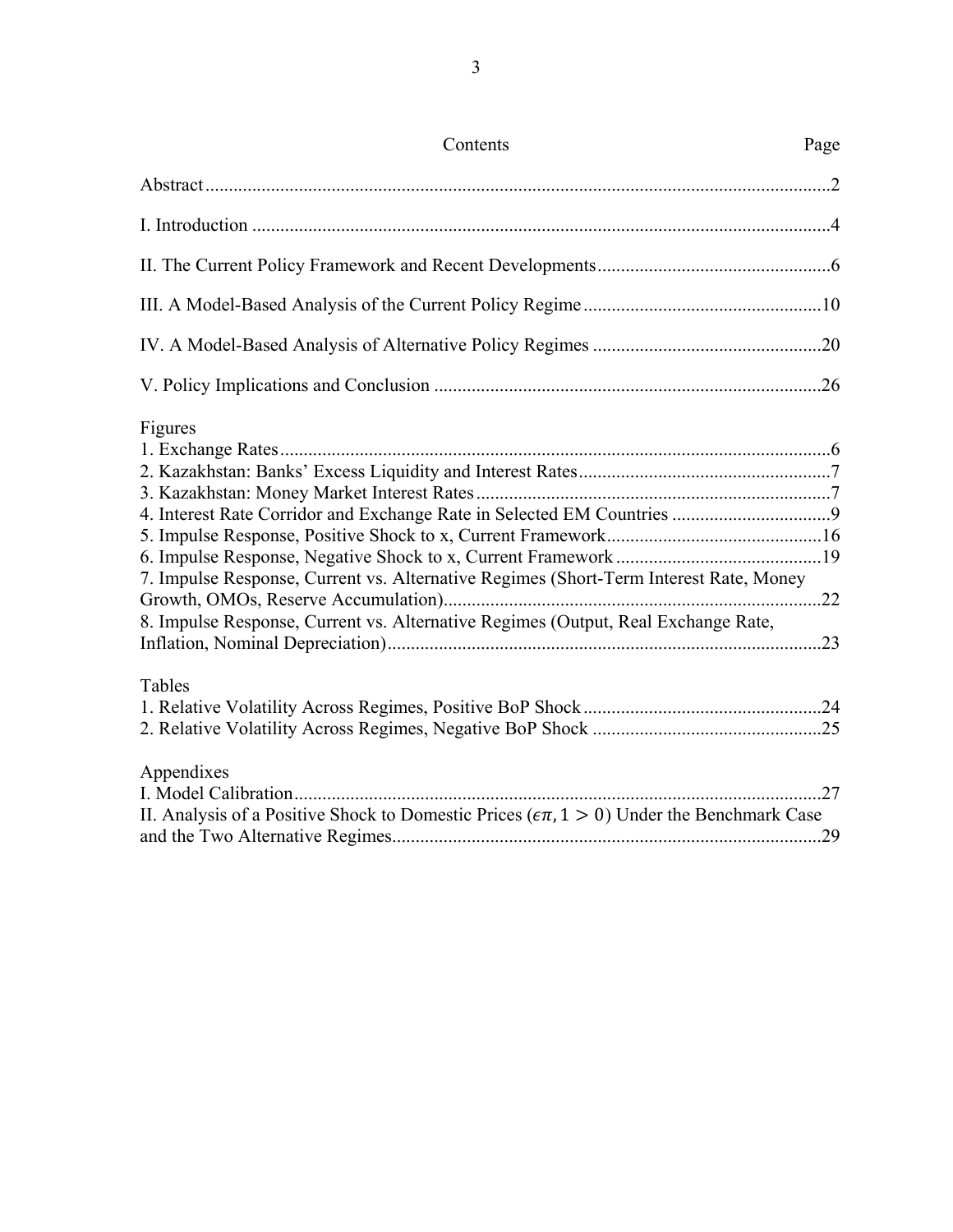| Contents                                                                                                                                                                              | Page |
|---------------------------------------------------------------------------------------------------------------------------------------------------------------------------------------|------|
|                                                                                                                                                                                       |      |
|                                                                                                                                                                                       |      |
|                                                                                                                                                                                       |      |
|                                                                                                                                                                                       |      |
|                                                                                                                                                                                       |      |
|                                                                                                                                                                                       |      |
| Figures<br>7. Impulse Response, Current vs. Alternative Regimes (Short-Term Interest Rate, Money<br>8. Impulse Response, Current vs. Alternative Regimes (Output, Real Exchange Rate, |      |
|                                                                                                                                                                                       |      |
| Tables                                                                                                                                                                                |      |
| Appendixes<br>II. Analysis of a Positive Shock to Domestic Prices ( $\epsilon \pi$ , 1 > 0) Under the Benchmark Case                                                                  |      |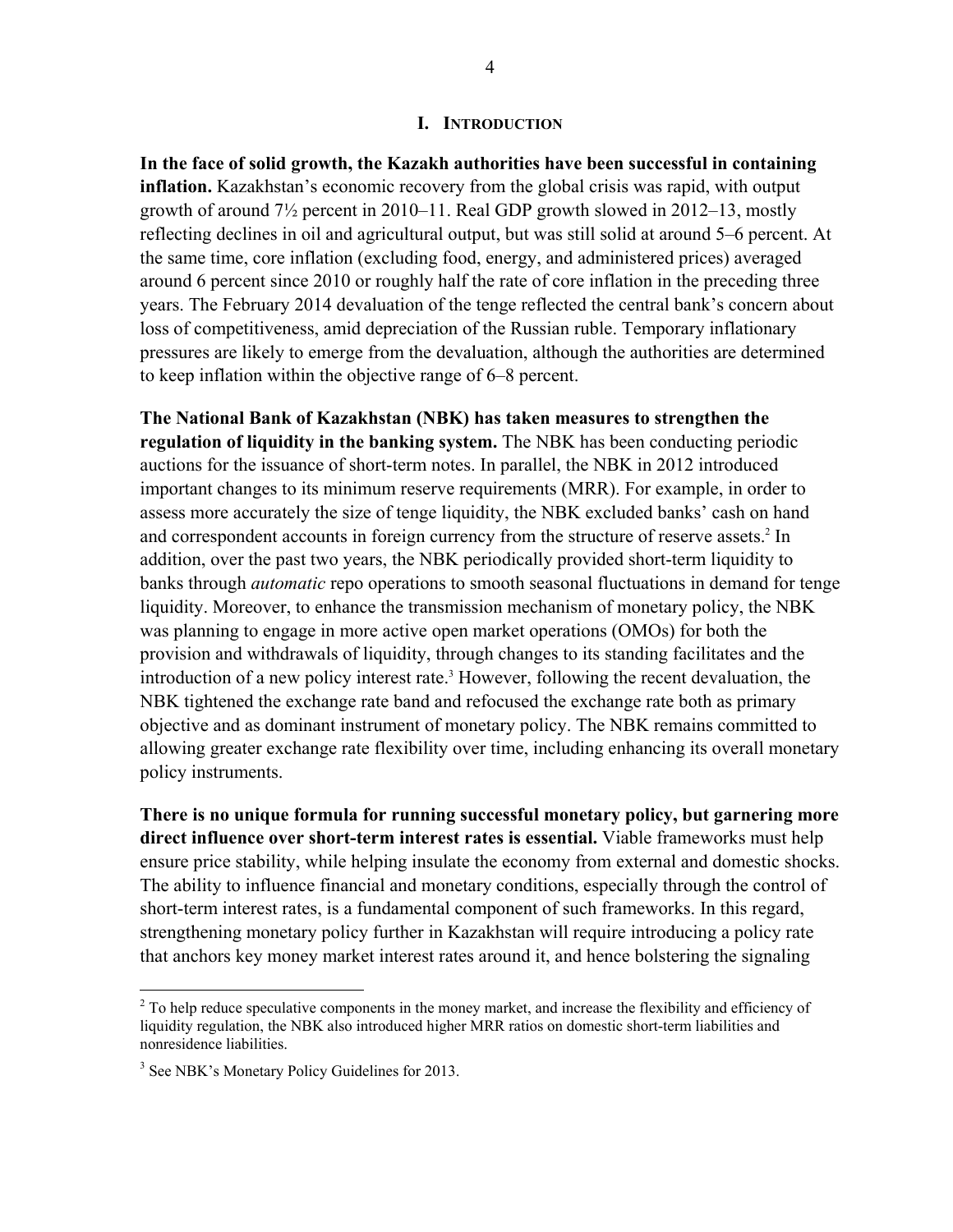#### **I. INTRODUCTION**

**In the face of solid growth, the Kazakh authorities have been successful in containing inflation.** Kazakhstan's economic recovery from the global crisis was rapid, with output growth of around 7½ percent in 2010–11. Real GDP growth slowed in 2012–13, mostly reflecting declines in oil and agricultural output, but was still solid at around 5–6 percent. At the same time, core inflation (excluding food, energy, and administered prices) averaged around 6 percent since 2010 or roughly half the rate of core inflation in the preceding three years. The February 2014 devaluation of the tenge reflected the central bank's concern about loss of competitiveness, amid depreciation of the Russian ruble. Temporary inflationary pressures are likely to emerge from the devaluation, although the authorities are determined to keep inflation within the objective range of 6–8 percent.

**The National Bank of Kazakhstan (NBK) has taken measures to strengthen the regulation of liquidity in the banking system.** The NBK has been conducting periodic auctions for the issuance of short-term notes. In parallel, the NBK in 2012 introduced important changes to its minimum reserve requirements (MRR). For example, in order to assess more accurately the size of tenge liquidity, the NBK excluded banks' cash on hand and correspondent accounts in foreign currency from the structure of reserve assets.<sup>2</sup> In addition, over the past two years, the NBK periodically provided short-term liquidity to banks through *automatic* repo operations to smooth seasonal fluctuations in demand for tenge liquidity. Moreover, to enhance the transmission mechanism of monetary policy, the NBK was planning to engage in more active open market operations (OMOs) for both the provision and withdrawals of liquidity, through changes to its standing facilitates and the introduction of a new policy interest rate.<sup>3</sup> However, following the recent devaluation, the NBK tightened the exchange rate band and refocused the exchange rate both as primary objective and as dominant instrument of monetary policy. The NBK remains committed to allowing greater exchange rate flexibility over time, including enhancing its overall monetary policy instruments.

**There is no unique formula for running successful monetary policy, but garnering more direct influence over short-term interest rates is essential.** Viable frameworks must help ensure price stability, while helping insulate the economy from external and domestic shocks. The ability to influence financial and monetary conditions, especially through the control of short-term interest rates, is a fundamental component of such frameworks. In this regard, strengthening monetary policy further in Kazakhstan will require introducing a policy rate that anchors key money market interest rates around it, and hence bolstering the signaling

 $2^{2}$  To help reduce speculative components in the money market, and increase the flexibility and efficiency of liquidity regulation, the NBK also introduced higher MRR ratios on domestic short-term liabilities and nonresidence liabilities.

<sup>&</sup>lt;sup>3</sup> See NBK's Monetary Policy Guidelines for 2013.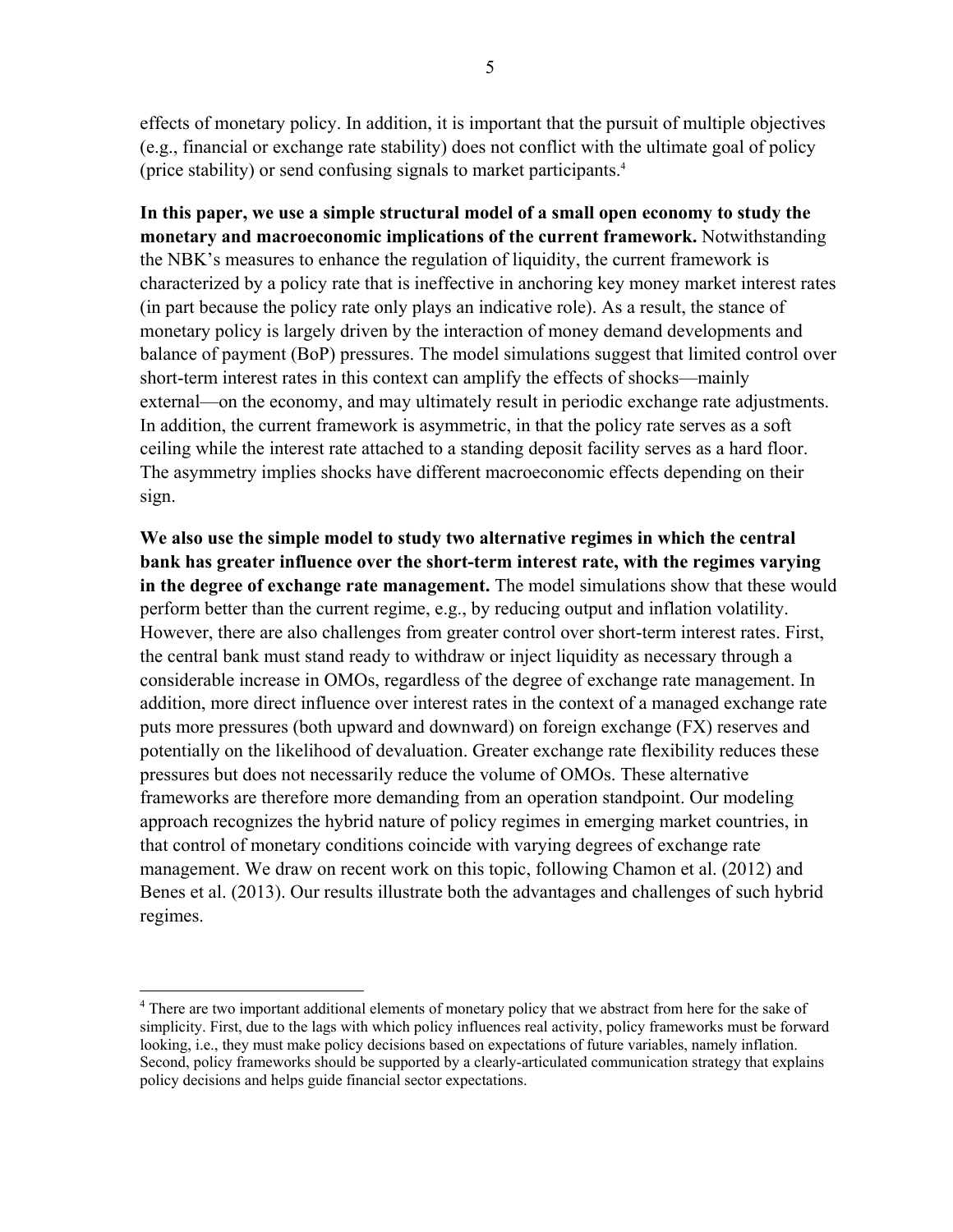effects of monetary policy. In addition, it is important that the pursuit of multiple objectives (e.g., financial or exchange rate stability) does not conflict with the ultimate goal of policy (price stability) or send confusing signals to market participants.4

**In this paper, we use a simple structural model of a small open economy to study the monetary and macroeconomic implications of the current framework.** Notwithstanding the NBK's measures to enhance the regulation of liquidity, the current framework is characterized by a policy rate that is ineffective in anchoring key money market interest rates (in part because the policy rate only plays an indicative role). As a result, the stance of monetary policy is largely driven by the interaction of money demand developments and balance of payment (BoP) pressures. The model simulations suggest that limited control over short-term interest rates in this context can amplify the effects of shocks—mainly external—on the economy, and may ultimately result in periodic exchange rate adjustments. In addition, the current framework is asymmetric, in that the policy rate serves as a soft ceiling while the interest rate attached to a standing deposit facility serves as a hard floor. The asymmetry implies shocks have different macroeconomic effects depending on their sign.

**We also use the simple model to study two alternative regimes in which the central bank has greater influence over the short-term interest rate, with the regimes varying in the degree of exchange rate management.** The model simulations show that these would perform better than the current regime, e.g., by reducing output and inflation volatility. However, there are also challenges from greater control over short-term interest rates. First, the central bank must stand ready to withdraw or inject liquidity as necessary through a considerable increase in OMOs, regardless of the degree of exchange rate management. In addition, more direct influence over interest rates in the context of a managed exchange rate puts more pressures (both upward and downward) on foreign exchange (FX) reserves and potentially on the likelihood of devaluation. Greater exchange rate flexibility reduces these pressures but does not necessarily reduce the volume of OMOs. These alternative frameworks are therefore more demanding from an operation standpoint. Our modeling approach recognizes the hybrid nature of policy regimes in emerging market countries, in that control of monetary conditions coincide with varying degrees of exchange rate management. We draw on recent work on this topic, following Chamon et al. (2012) and Benes et al. (2013). Our results illustrate both the advantages and challenges of such hybrid regimes.

<sup>&</sup>lt;sup>4</sup> There are two important additional elements of monetary policy that we abstract from here for the sake of simplicity. First, due to the lags with which policy influences real activity, policy frameworks must be forward looking, i.e., they must make policy decisions based on expectations of future variables, namely inflation. Second, policy frameworks should be supported by a clearly-articulated communication strategy that explains policy decisions and helps guide financial sector expectations.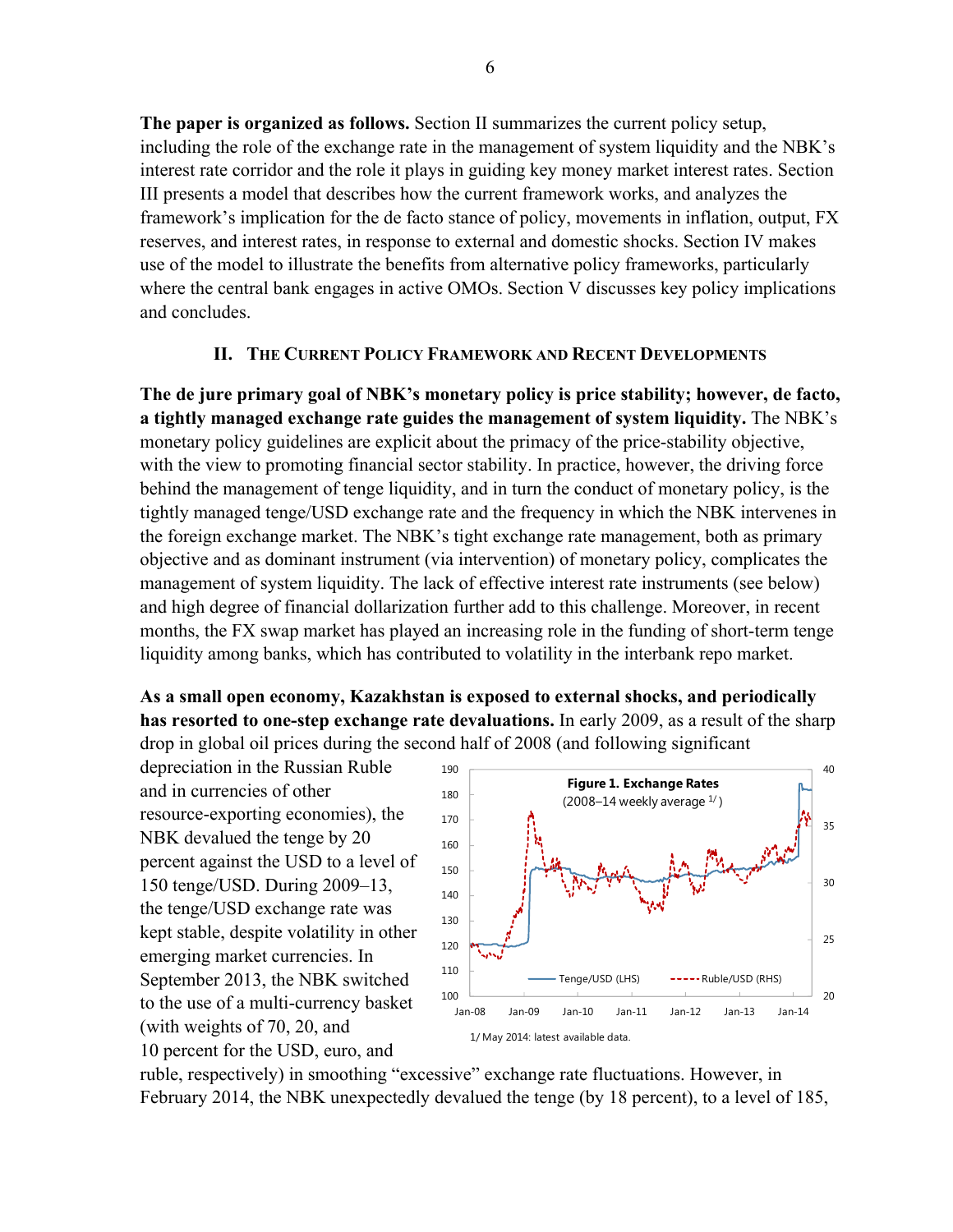**The paper is organized as follows.** Section II summarizes the current policy setup, including the role of the exchange rate in the management of system liquidity and the NBK's interest rate corridor and the role it plays in guiding key money market interest rates. Section III presents a model that describes how the current framework works, and analyzes the framework's implication for the de facto stance of policy, movements in inflation, output, FX reserves, and interest rates, in response to external and domestic shocks. Section IV makes use of the model to illustrate the benefits from alternative policy frameworks, particularly where the central bank engages in active OMOs. Section V discusses key policy implications and concludes.

## **II. THE CURRENT POLICY FRAMEWORK AND RECENT DEVELOPMENTS**

**The de jure primary goal of NBK's monetary policy is price stability; however, de facto, a tightly managed exchange rate guides the management of system liquidity.** The NBK's monetary policy guidelines are explicit about the primacy of the price-stability objective, with the view to promoting financial sector stability. In practice, however, the driving force behind the management of tenge liquidity, and in turn the conduct of monetary policy, is the tightly managed tenge/USD exchange rate and the frequency in which the NBK intervenes in the foreign exchange market. The NBK's tight exchange rate management, both as primary objective and as dominant instrument (via intervention) of monetary policy, complicates the management of system liquidity. The lack of effective interest rate instruments (see below) and high degree of financial dollarization further add to this challenge. Moreover, in recent months, the FX swap market has played an increasing role in the funding of short-term tenge liquidity among banks, which has contributed to volatility in the interbank repo market.

**As a small open economy, Kazakhstan is exposed to external shocks, and periodically has resorted to one-step exchange rate devaluations.** In early 2009, as a result of the sharp drop in global oil prices during the second half of 2008 (and following significant

depreciation in the Russian Ruble and in currencies of other resource-exporting economies), the NBK devalued the tenge by 20 percent against the USD to a level of 150 tenge/USD. During 2009–13, the tenge/USD exchange rate was kept stable, despite volatility in other emerging market currencies. In September 2013, the NBK switched to the use of a multi-currency basket (with weights of 70, 20, and 10 percent for the USD, euro, and



ruble, respectively) in smoothing "excessive" exchange rate fluctuations. However, in February 2014, the NBK unexpectedly devalued the tenge (by 18 percent), to a level of 185,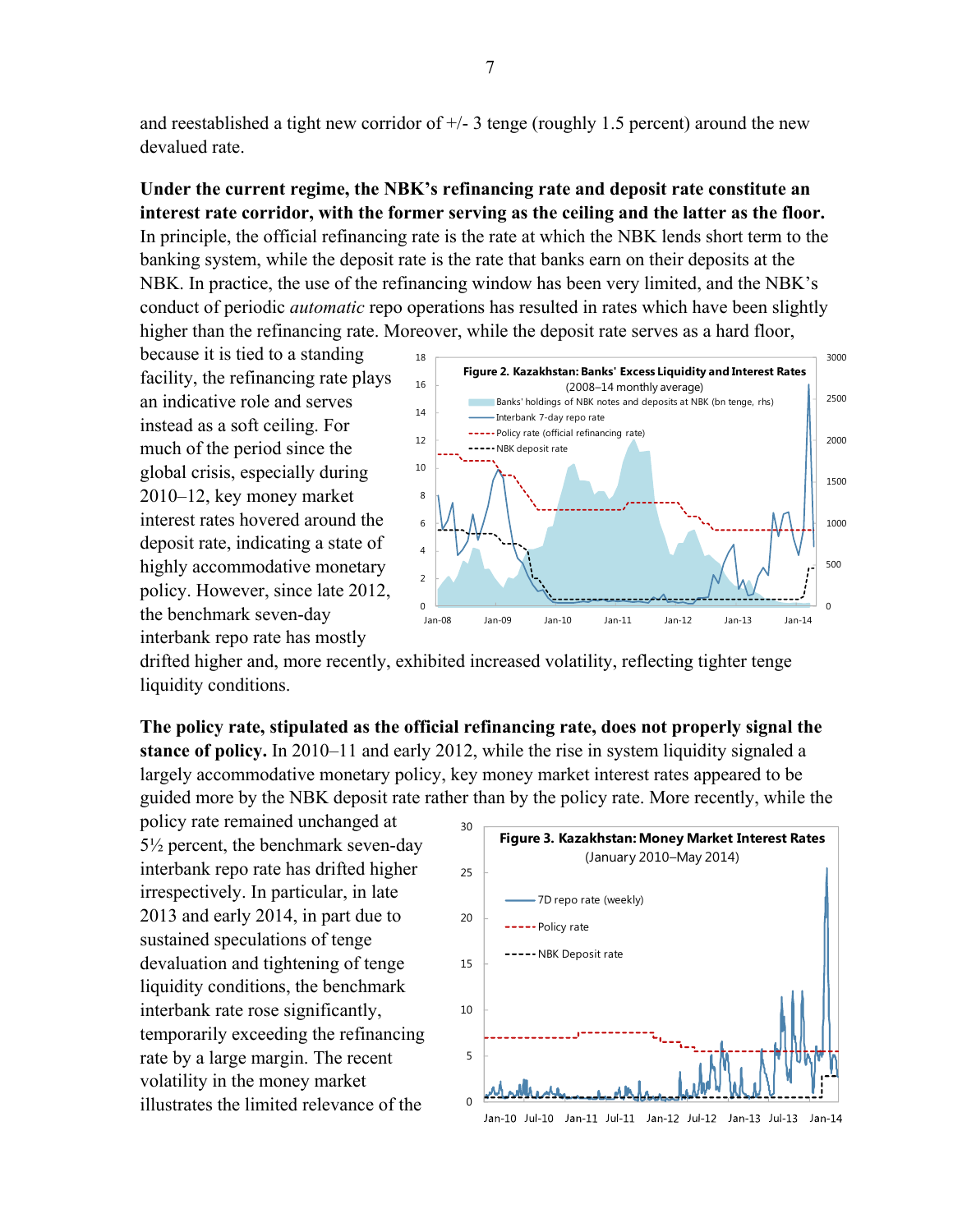and reestablished a tight new corridor of  $\pm$ /- 3 tenge (roughly 1.5 percent) around the new devalued rate.

## **Under the current regime, the NBK's refinancing rate and deposit rate constitute an interest rate corridor, with the former serving as the ceiling and the latter as the floor.**

In principle, the official refinancing rate is the rate at which the NBK lends short term to the banking system, while the deposit rate is the rate that banks earn on their deposits at the NBK. In practice, the use of the refinancing window has been very limited, and the NBK's conduct of periodic *automatic* repo operations has resulted in rates which have been slightly higher than the refinancing rate. Moreover, while the deposit rate serves as a hard floor,

because it is tied to a standing facility, the refinancing rate plays an indicative role and serves instead as a soft ceiling. For much of the period since the global crisis, especially during 2010–12, key money market interest rates hovered around the deposit rate, indicating a state of highly accommodative monetary policy. However, since late 2012, the benchmark seven-day interbank repo rate has mostly



drifted higher and, more recently, exhibited increased volatility, reflecting tighter tenge liquidity conditions.

**The policy rate, stipulated as the official refinancing rate, does not properly signal the stance of policy.** In 2010–11 and early 2012, while the rise in system liquidity signaled a largely accommodative monetary policy, key money market interest rates appeared to be guided more by the NBK deposit rate rather than by the policy rate. More recently, while the

policy rate remained unchanged at 5½ percent, the benchmark seven-day interbank repo rate has drifted higher irrespectively. In particular, in late 2013 and early 2014, in part due to sustained speculations of tenge devaluation and tightening of tenge liquidity conditions, the benchmark interbank rate rose significantly, temporarily exceeding the refinancing rate by a large margin. The recent volatility in the money market illustrates the limited relevance of the

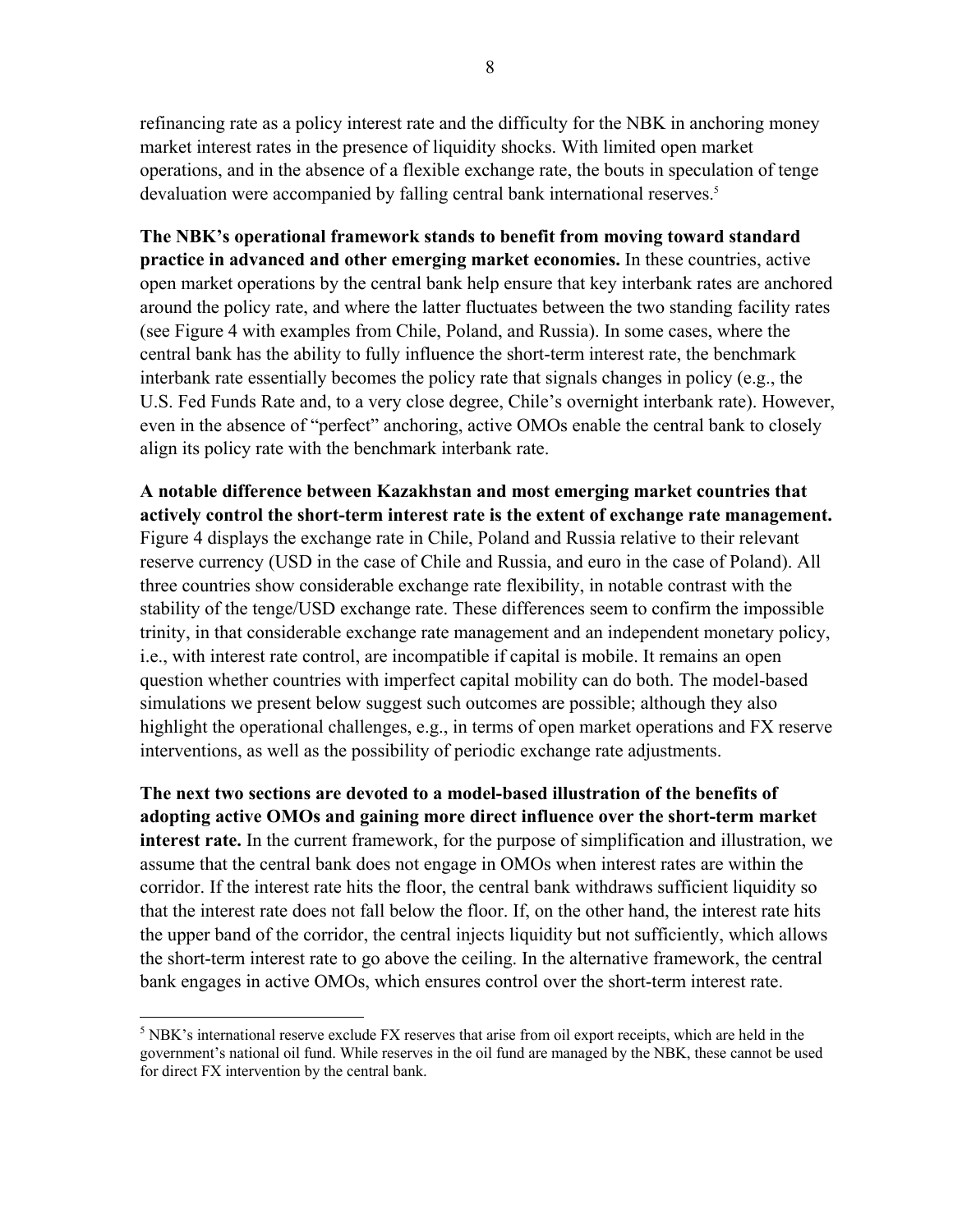refinancing rate as a policy interest rate and the difficulty for the NBK in anchoring money market interest rates in the presence of liquidity shocks. With limited open market operations, and in the absence of a flexible exchange rate, the bouts in speculation of tenge devaluation were accompanied by falling central bank international reserves.<sup>5</sup>

**The NBK's operational framework stands to benefit from moving toward standard practice in advanced and other emerging market economies.** In these countries, active open market operations by the central bank help ensure that key interbank rates are anchored around the policy rate, and where the latter fluctuates between the two standing facility rates (see Figure 4 with examples from Chile, Poland, and Russia). In some cases, where the central bank has the ability to fully influence the short-term interest rate, the benchmark interbank rate essentially becomes the policy rate that signals changes in policy (e.g., the U.S. Fed Funds Rate and, to a very close degree, Chile's overnight interbank rate). However, even in the absence of "perfect" anchoring, active OMOs enable the central bank to closely align its policy rate with the benchmark interbank rate.

**A notable difference between Kazakhstan and most emerging market countries that actively control the short-term interest rate is the extent of exchange rate management.**  Figure 4 displays the exchange rate in Chile, Poland and Russia relative to their relevant reserve currency (USD in the case of Chile and Russia, and euro in the case of Poland). All three countries show considerable exchange rate flexibility, in notable contrast with the stability of the tenge/USD exchange rate. These differences seem to confirm the impossible trinity, in that considerable exchange rate management and an independent monetary policy, i.e., with interest rate control, are incompatible if capital is mobile. It remains an open question whether countries with imperfect capital mobility can do both. The model-based simulations we present below suggest such outcomes are possible; although they also highlight the operational challenges, e.g., in terms of open market operations and FX reserve interventions, as well as the possibility of periodic exchange rate adjustments.

**The next two sections are devoted to a model-based illustration of the benefits of adopting active OMOs and gaining more direct influence over the short-term market interest rate.** In the current framework, for the purpose of simplification and illustration, we assume that the central bank does not engage in OMOs when interest rates are within the corridor. If the interest rate hits the floor, the central bank withdraws sufficient liquidity so that the interest rate does not fall below the floor. If, on the other hand, the interest rate hits the upper band of the corridor, the central injects liquidity but not sufficiently, which allows the short-term interest rate to go above the ceiling. In the alternative framework, the central bank engages in active OMOs, which ensures control over the short-term interest rate.

 $<sup>5</sup>$  NBK's international reserve exclude FX reserves that arise from oil export receipts, which are held in the</sup> government's national oil fund. While reserves in the oil fund are managed by the NBK, these cannot be used for direct FX intervention by the central bank.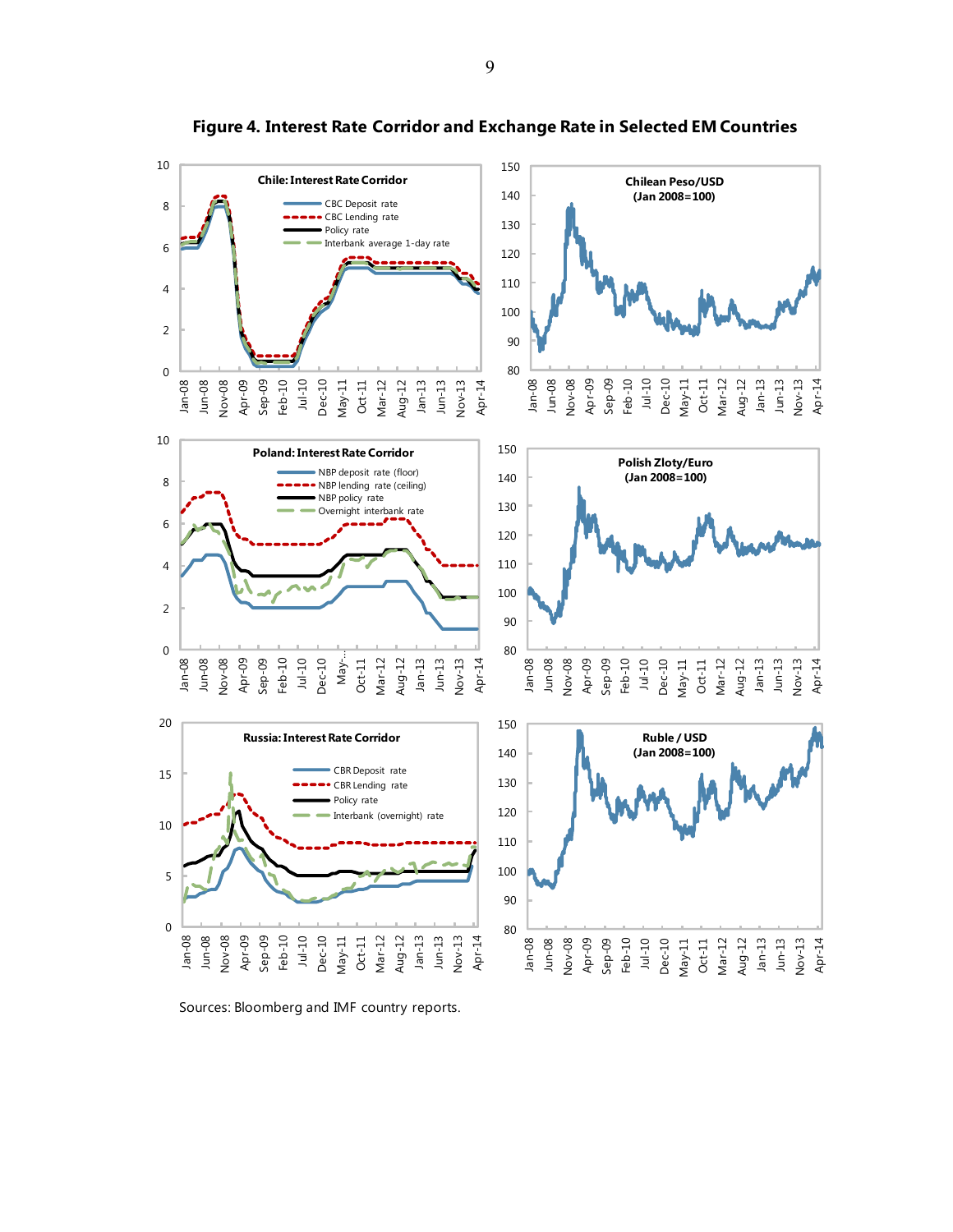

**Figure 4. Interest Rate Corridor and Exchange Rate in Selected EM Countries**

Sources: Bloomberg and IMF country reports.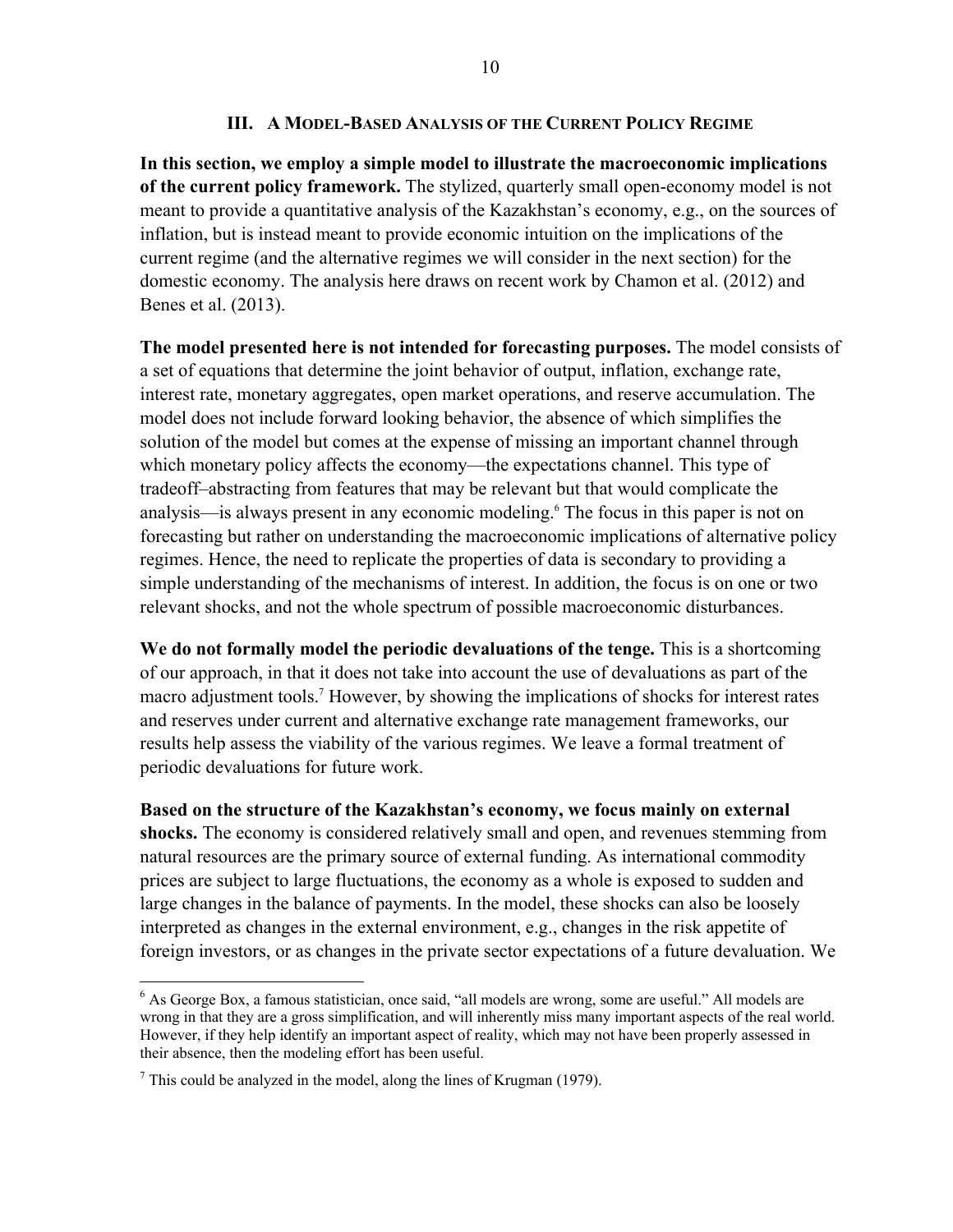## **III. A MODEL-BASED ANALYSIS OF THE CURRENT POLICY REGIME**

**In this section, we employ a simple model to illustrate the macroeconomic implications of the current policy framework.** The stylized, quarterly small open-economy model is not meant to provide a quantitative analysis of the Kazakhstan's economy, e.g., on the sources of inflation, but is instead meant to provide economic intuition on the implications of the current regime (and the alternative regimes we will consider in the next section) for the domestic economy. The analysis here draws on recent work by Chamon et al. (2012) and Benes et al. (2013).

**The model presented here is not intended for forecasting purposes.** The model consists of a set of equations that determine the joint behavior of output, inflation, exchange rate, interest rate, monetary aggregates, open market operations, and reserve accumulation. The model does not include forward looking behavior, the absence of which simplifies the solution of the model but comes at the expense of missing an important channel through which monetary policy affects the economy—the expectations channel. This type of tradeoff–abstracting from features that may be relevant but that would complicate the analysis—is always present in any economic modeling.6 The focus in this paper is not on forecasting but rather on understanding the macroeconomic implications of alternative policy regimes. Hence, the need to replicate the properties of data is secondary to providing a simple understanding of the mechanisms of interest. In addition, the focus is on one or two relevant shocks, and not the whole spectrum of possible macroeconomic disturbances.

**We do not formally model the periodic devaluations of the tenge.** This is a shortcoming of our approach, in that it does not take into account the use of devaluations as part of the macro adjustment tools.7 However, by showing the implications of shocks for interest rates and reserves under current and alternative exchange rate management frameworks, our results help assess the viability of the various regimes. We leave a formal treatment of periodic devaluations for future work.

**Based on the structure of the Kazakhstan's economy, we focus mainly on external shocks.** The economy is considered relatively small and open, and revenues stemming from natural resources are the primary source of external funding. As international commodity prices are subject to large fluctuations, the economy as a whole is exposed to sudden and large changes in the balance of payments. In the model, these shocks can also be loosely interpreted as changes in the external environment, e.g., changes in the risk appetite of foreign investors, or as changes in the private sector expectations of a future devaluation. We

1

<sup>&</sup>lt;sup>6</sup> As George Box, a famous statistician, once said, "all models are wrong, some are useful." All models are wrong in that they are a gross simplification, and will inherently miss many important aspects of the real world. However, if they help identify an important aspect of reality, which may not have been properly assessed in their absence, then the modeling effort has been useful.

 $<sup>7</sup>$  This could be analyzed in the model, along the lines of Krugman (1979).</sup>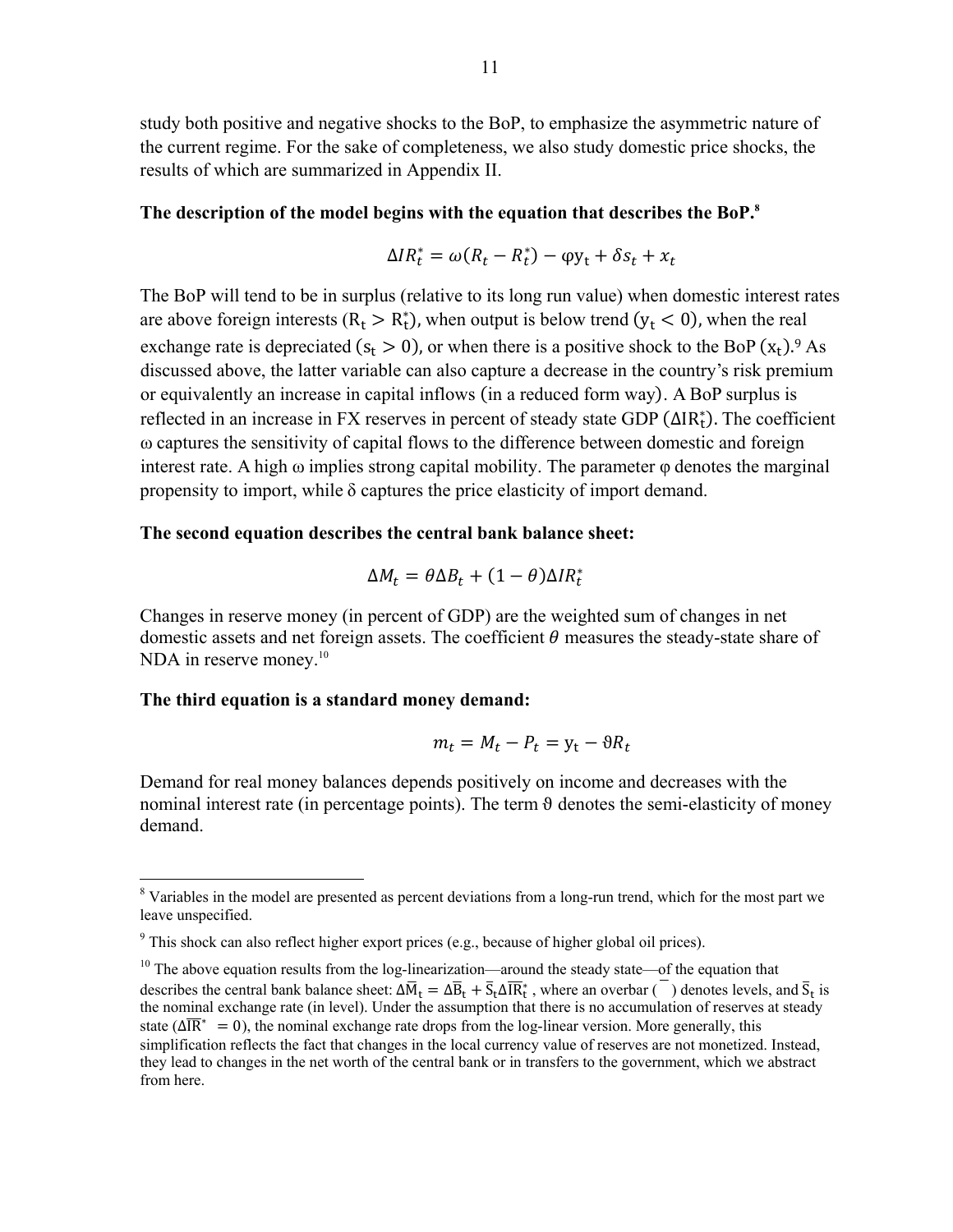study both positive and negative shocks to the BoP, to emphasize the asymmetric nature of the current regime. For the sake of completeness, we also study domestic price shocks, the results of which are summarized in Appendix II.

#### **The description of the model begins with the equation that describes the BoP.8**

$$
\Delta IR_t^* = \omega (R_t - R_t^*) - \varphi y_t + \delta s_t + x_t
$$

The BoP will tend to be in surplus (relative to its long run value) when domestic interest rates are above foreign interests ( $R_t > R_t^*$ ), when output is below trend ( $y_t < 0$ ), when the real exchange rate is depreciated  $(s_t > 0)$ , or when there is a positive shock to the BoP  $(x_t)$ .<sup>9</sup> As discussed above, the latter variable can also capture a decrease in the country's risk premium or equivalently an increase in capital inflows (in a reduced form way). A BoP surplus is reflected in an increase in FX reserves in percent of steady state GDP (ΔIR<sub>t</sub>). The coefficient ω captures the sensitivity of capital flows to the difference between domestic and foreign interest rate. A high  $\omega$  implies strong capital mobility. The parameter  $\varphi$  denotes the marginal propensity to import, while  $\delta$  captures the price elasticity of import demand.

## **The second equation describes the central bank balance sheet:**

$$
\Delta M_t = \theta \Delta B_t + (1 - \theta) \Delta I R_t^*
$$

Changes in reserve money (in percent of GDP) are the weighted sum of changes in net domestic assets and net foreign assets. The coefficient  $\theta$  measures the steady-state share of NDA in reserve money.<sup>10</sup>

## **The third equation is a standard money demand:**

$$
m_t = M_t - P_t = y_t - \vartheta R_t
$$

Demand for real money balances depends positively on income and decreases with the nominal interest rate (in percentage points). The term  $\theta$  denotes the semi-elasticity of money demand.

<sup>&</sup>lt;sup>8</sup> Variables in the model are presented as percent deviations from a long-run trend, which for the most part we leave unspecified.

 $9$  This shock can also reflect higher export prices (e.g., because of higher global oil prices).

 $10$  The above equation results from the log-linearization—around the steady state—of the equation that describes the central bank balance sheet:  $\Delta \overline{M}_t = \Delta \overline{B}_t + \overline{S}_t \Delta \overline{R}_t^*$ , where an overbar ( $\overline{\phantom{a}}$ ) denotes levels, and  $\overline{S}_t$  is the nominal exchange rate (in level). Under the assumption that there is no accumulation of reserves at steady state ( $\Delta \overline{IR}^* = 0$ ), the nominal exchange rate drops from the log-linear version. More generally, this simplification reflects the fact that changes in the local currency value of reserves are not monetized. Instead, they lead to changes in the net worth of the central bank or in transfers to the government, which we abstract from here.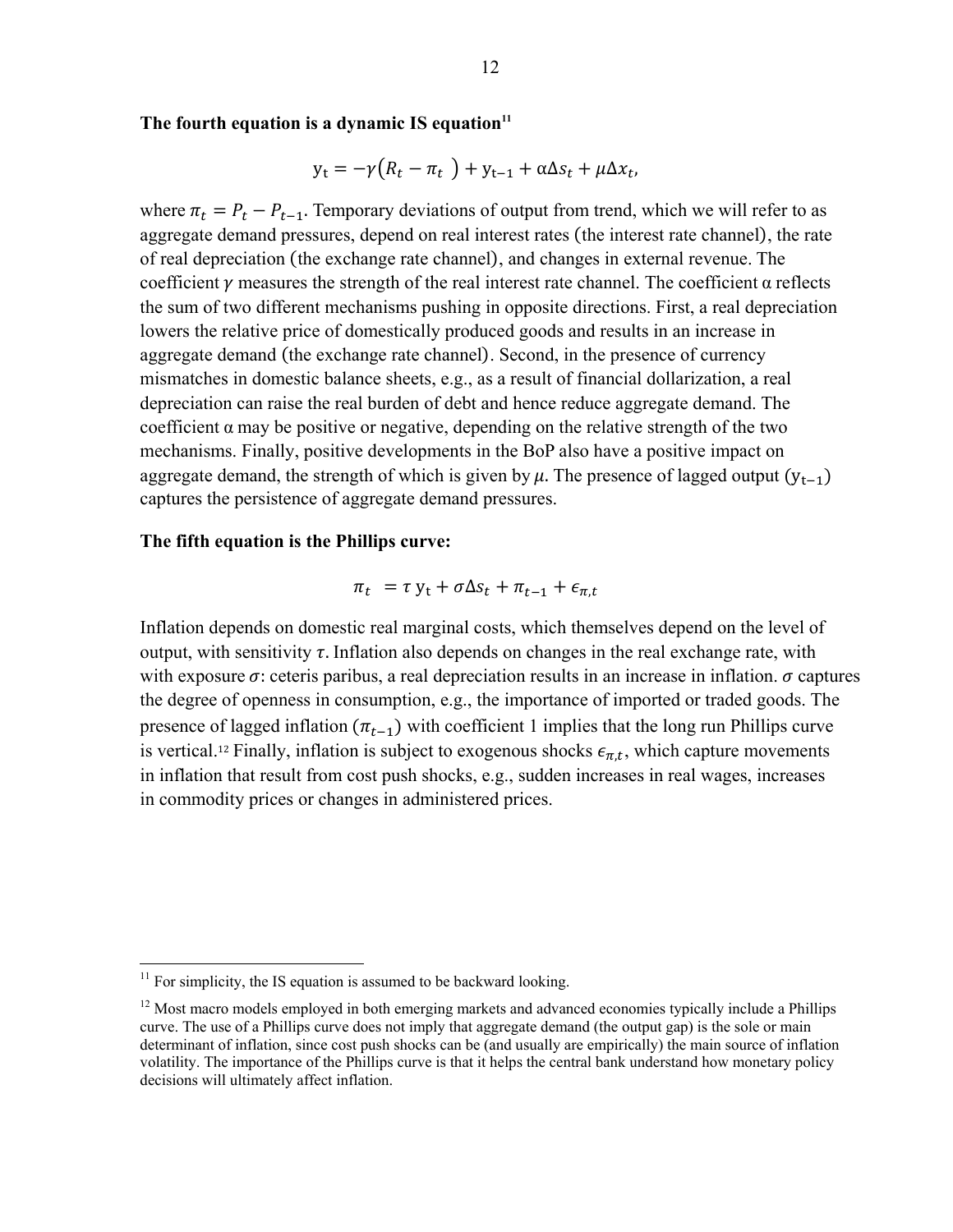The fourth equation is a dynamic IS equation<sup>11</sup>

$$
y_t = -\gamma (R_t - \pi_t) + y_{t-1} + \alpha \Delta s_t + \mu \Delta x_t,
$$

where  $\pi_t = P_t - P_{t-1}$ . Temporary deviations of output from trend, which we will refer to as aggregate demand pressures, depend on real interest rates (the interest rate channel), the rate of real depreciation (the exchange rate channel), and changes in external revenue. The coefficient  $\gamma$  measures the strength of the real interest rate channel. The coefficient  $\alpha$  reflects the sum of two different mechanisms pushing in opposite directions. First, a real depreciation lowers the relative price of domestically produced goods and results in an increase in aggregate demand (the exchange rate channel). Second, in the presence of currency mismatches in domestic balance sheets, e.g., as a result of financial dollarization, a real depreciation can raise the real burden of debt and hence reduce aggregate demand. The coefficient  $\alpha$  may be positive or negative, depending on the relative strength of the two mechanisms. Finally, positive developments in the BoP also have a positive impact on aggregate demand, the strength of which is given by  $\mu$ . The presence of lagged output  $(y_{t-1})$ captures the persistence of aggregate demand pressures.

## **The fifth equation is the Phillips curve:**

$$
\pi_t = \tau y_t + \sigma \Delta s_t + \pi_{t-1} + \epsilon_{\pi, t}
$$

Inflation depends on domestic real marginal costs, which themselves depend on the level of output, with sensitivity  $\tau$ . Inflation also depends on changes in the real exchange rate, with with exposure  $\sigma$ : ceteris paribus, a real depreciation results in an increase in inflation.  $\sigma$  captures the degree of openness in consumption, e.g., the importance of imported or traded goods. The presence of lagged inflation  $(\pi_{t-1})$  with coefficient 1 implies that the long run Phillips curve is vertical.<sup>12</sup> Finally, inflation is subject to exogenous shocks  $\epsilon_{\pi,t}$ , which capture movements in inflation that result from cost push shocks, e.g., sudden increases in real wages, increases in commodity prices or changes in administered prices.

 $11$  For simplicity, the IS equation is assumed to be backward looking.

<sup>&</sup>lt;sup>12</sup> Most macro models employed in both emerging markets and advanced economies typically include a Phillips curve. The use of a Phillips curve does not imply that aggregate demand (the output gap) is the sole or main determinant of inflation, since cost push shocks can be (and usually are empirically) the main source of inflation volatility. The importance of the Phillips curve is that it helps the central bank understand how monetary policy decisions will ultimately affect inflation.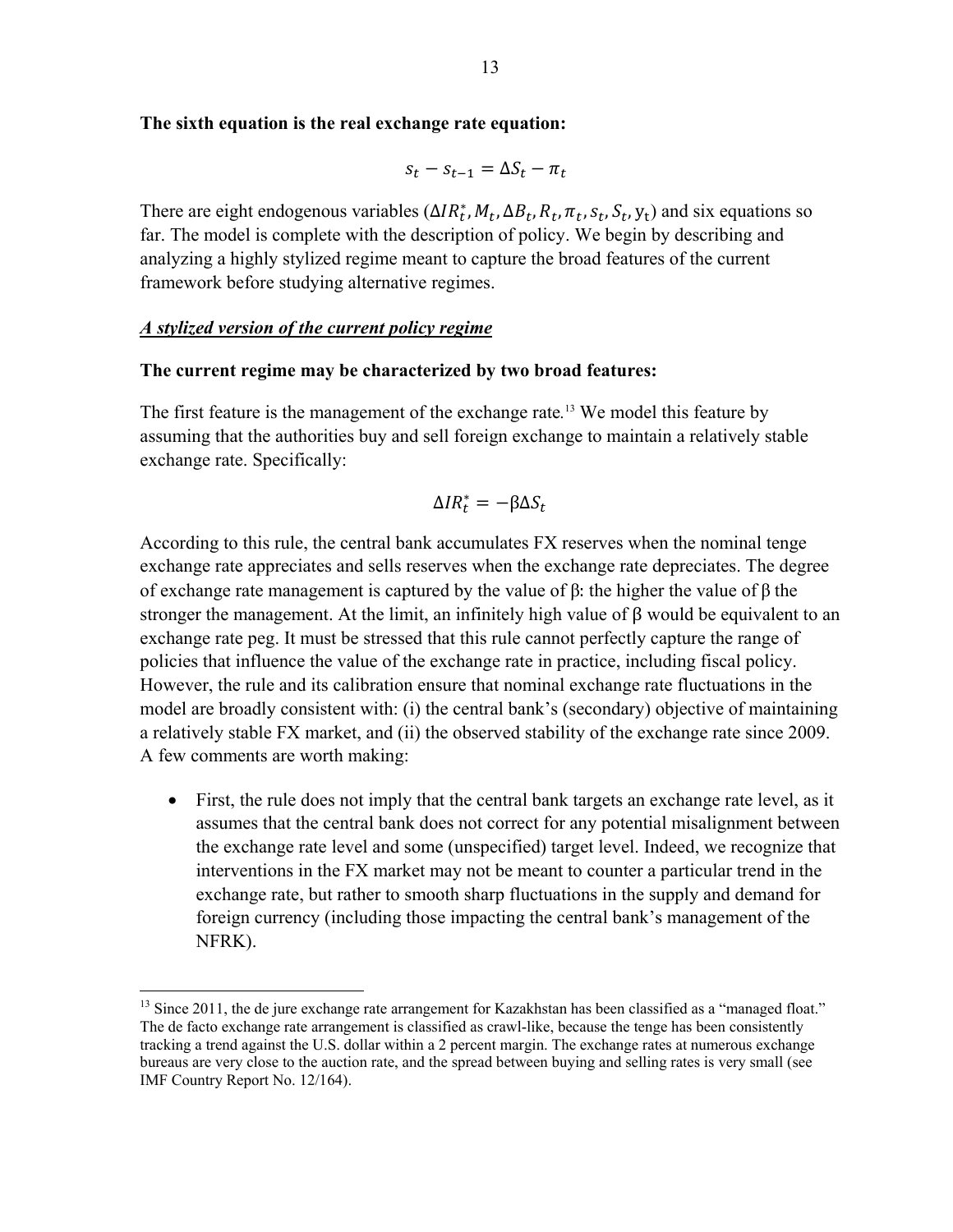## **The sixth equation is the real exchange rate equation:**

$$
s_t - s_{t-1} = \Delta S_t - \pi_t
$$

There are eight endogenous variables  $(\Delta IR_t^*, M_t, \Delta B_t, R_t, \pi_t, S_t, S_t, Y_t)$  and six equations so far. The model is complete with the description of policy. We begin by describing and analyzing a highly stylized regime meant to capture the broad features of the current framework before studying alternative regimes.

# *A stylized version of the current policy regime*

1

#### **The current regime may be characterized by two broad features:**

The first feature is the management of the exchange rate*.* 13 We model this feature by assuming that the authorities buy and sell foreign exchange to maintain a relatively stable exchange rate. Specifically:

$$
\Delta IR_t^* = -\beta \Delta S_t
$$

According to this rule, the central bank accumulates FX reserves when the nominal tenge exchange rate appreciates and sells reserves when the exchange rate depreciates. The degree of exchange rate management is captured by the value of β: the higher the value of β the stronger the management. At the limit, an infinitely high value of β would be equivalent to an exchange rate peg. It must be stressed that this rule cannot perfectly capture the range of policies that influence the value of the exchange rate in practice, including fiscal policy. However, the rule and its calibration ensure that nominal exchange rate fluctuations in the model are broadly consistent with: (i) the central bank's (secondary) objective of maintaining a relatively stable FX market, and (ii) the observed stability of the exchange rate since 2009. A few comments are worth making:

 First, the rule does not imply that the central bank targets an exchange rate level, as it assumes that the central bank does not correct for any potential misalignment between the exchange rate level and some (unspecified) target level. Indeed, we recognize that interventions in the FX market may not be meant to counter a particular trend in the exchange rate, but rather to smooth sharp fluctuations in the supply and demand for foreign currency (including those impacting the central bank's management of the NFRK).

<sup>&</sup>lt;sup>13</sup> Since 2011, the de jure exchange rate arrangement for Kazakhstan has been classified as a "managed float." The de facto exchange rate arrangement is classified as crawl-like, because the tenge has been consistently tracking a trend against the U.S. dollar within a 2 percent margin. The exchange rates at numerous exchange bureaus are very close to the auction rate, and the spread between buying and selling rates is very small (see IMF Country Report No. 12/164).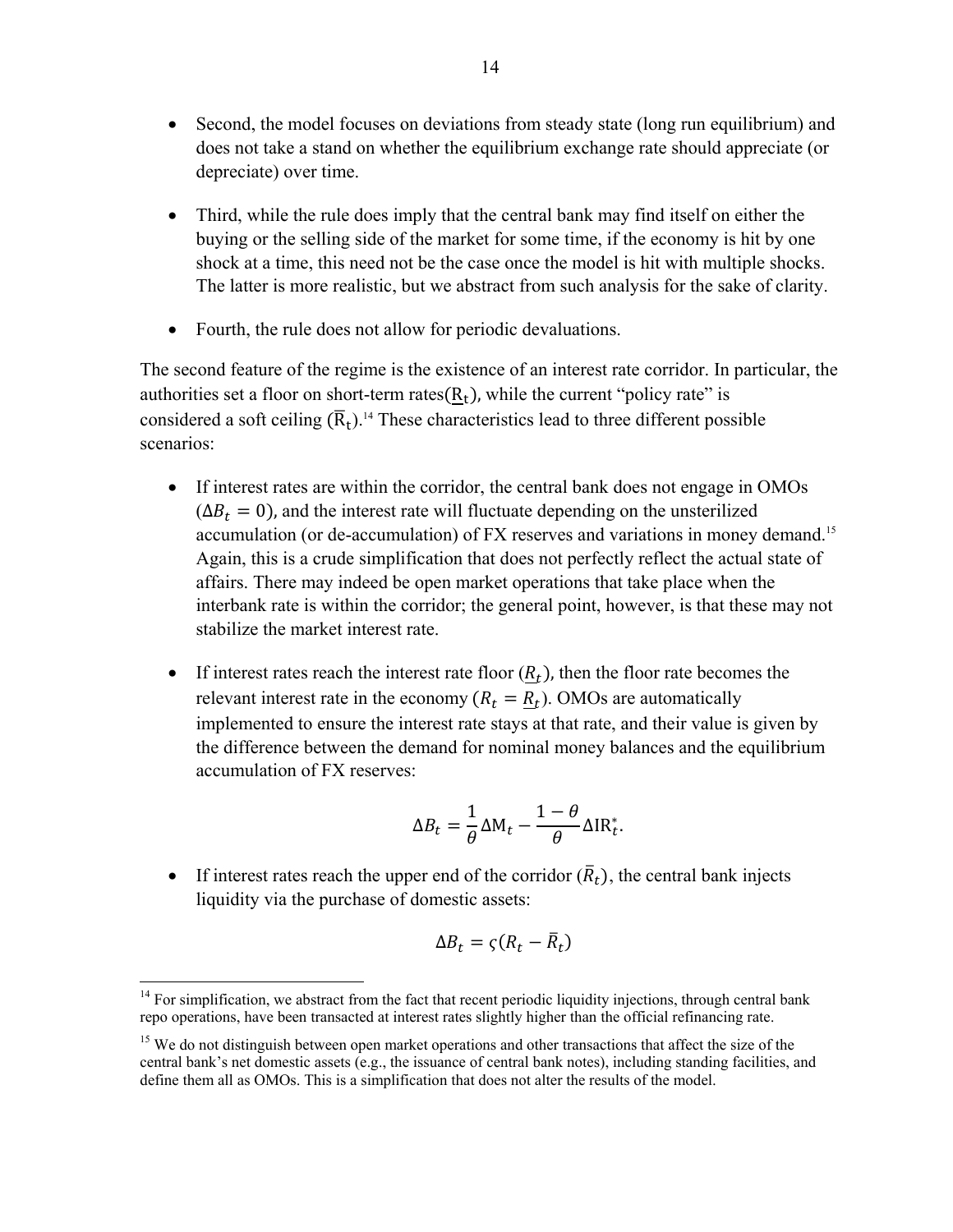- Second, the model focuses on deviations from steady state (long run equilibrium) and does not take a stand on whether the equilibrium exchange rate should appreciate (or depreciate) over time.
- Third, while the rule does imply that the central bank may find itself on either the buying or the selling side of the market for some time, if the economy is hit by one shock at a time, this need not be the case once the model is hit with multiple shocks. The latter is more realistic, but we abstract from such analysis for the sake of clarity.
- Fourth, the rule does not allow for periodic devaluations.

The second feature of the regime is the existence of an interest rate corridor. In particular, the authorities set a floor on short-term rates $(R_t)$ , while the current "policy rate" is considered a soft ceiling  $(\overline{R}_t)$ .<sup>14</sup> These characteristics lead to three different possible scenarios:

- If interest rates are within the corridor, the central bank does not engage in OMOs  $(\Delta B_t = 0)$ , and the interest rate will fluctuate depending on the unsterilized accumulation (or de-accumulation) of FX reserves and variations in money demand.15 Again, this is a crude simplification that does not perfectly reflect the actual state of affairs. There may indeed be open market operations that take place when the interbank rate is within the corridor; the general point, however, is that these may not stabilize the market interest rate.
- If interest rates reach the interest rate floor  $(R_t)$ , then the floor rate becomes the relevant interest rate in the economy  $(R_t = R_t)$ . OMOs are automatically implemented to ensure the interest rate stays at that rate, and their value is given by the difference between the demand for nominal money balances and the equilibrium accumulation of FX reserves:

$$
\Delta B_t = \frac{1}{\theta} \Delta M_t - \frac{1-\theta}{\theta} \Delta I R_t^*.
$$

If interest rates reach the upper end of the corridor  $(\bar{R}_t)$ , the central bank injects liquidity via the purchase of domestic assets:

$$
\Delta B_t = \varsigma (R_t - \bar{R}_t)
$$

 $\overline{a}$  $14$  For simplification, we abstract from the fact that recent periodic liquidity injections, through central bank repo operations, have been transacted at interest rates slightly higher than the official refinancing rate.

<sup>&</sup>lt;sup>15</sup> We do not distinguish between open market operations and other transactions that affect the size of the central bank's net domestic assets (e.g., the issuance of central bank notes), including standing facilities, and define them all as OMOs. This is a simplification that does not alter the results of the model.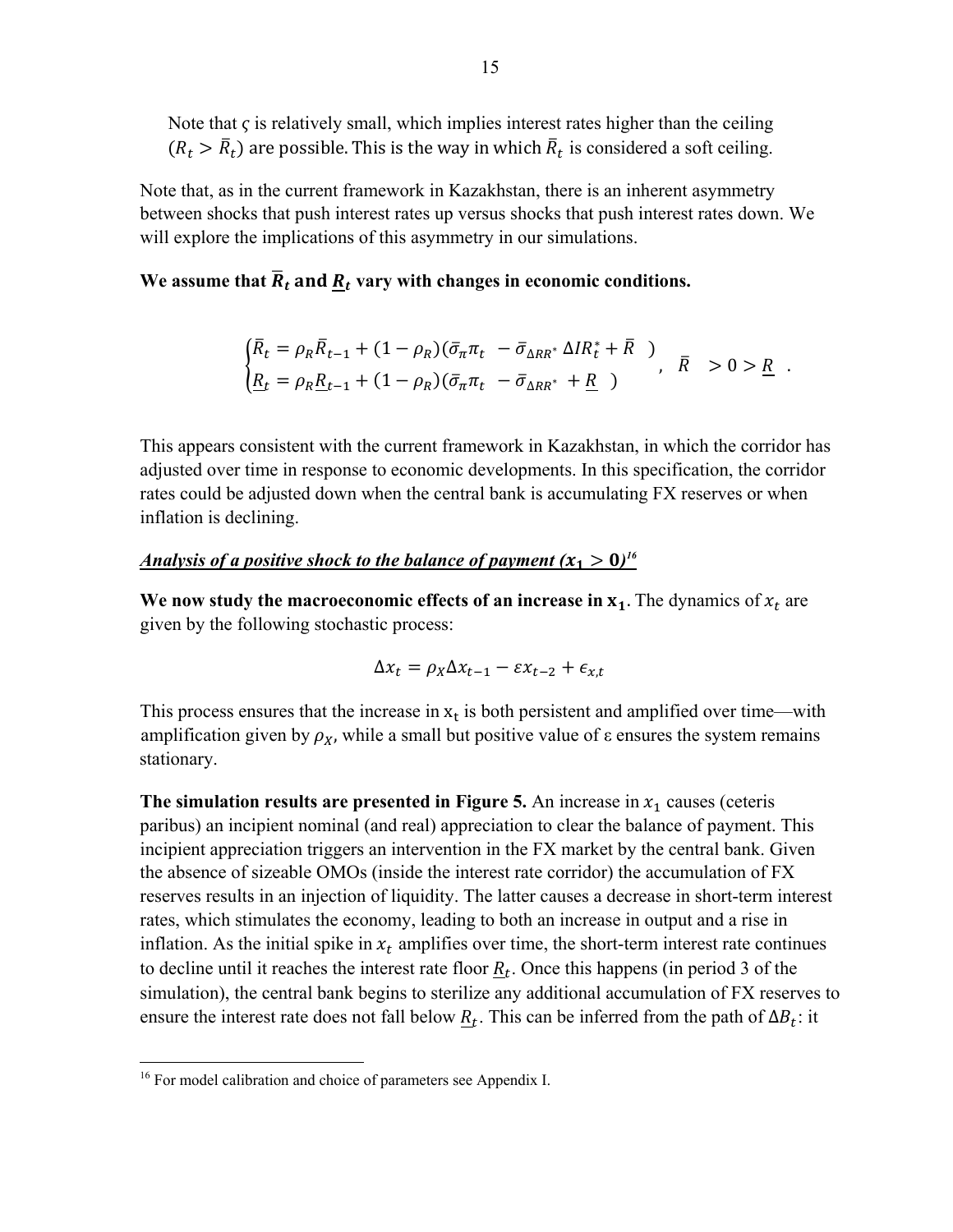Note that  $\varsigma$  is relatively small, which implies interest rates higher than the ceiling  $(R_t > \bar{R}_t)$  are possible. This is the way in which  $\bar{R}_t$  is considered a soft ceiling.

Note that, as in the current framework in Kazakhstan, there is an inherent asymmetry between shocks that push interest rates up versus shocks that push interest rates down. We will explore the implications of this asymmetry in our simulations.

## We assume that  $\overline{R}_t$  and  $\underline{R}_t$  vary with changes in economic conditions.

$$
\begin{cases} \bar{R}_t = \rho_R \bar{R}_{t-1} + (1 - \rho_R)(\bar{\sigma}_\pi \pi_t - \bar{\sigma}_{\Delta RR^*} \Delta IR_t^* + \bar{R}) \\ \underline{R}_t = \rho_R \underline{R}_{t-1} + (1 - \rho_R)(\bar{\sigma}_\pi \pi_t - \bar{\sigma}_{\Delta RR^*} + \underline{R}) \end{cases}, \quad \bar{R} > 0 > \underline{R} .
$$

This appears consistent with the current framework in Kazakhstan, in which the corridor has adjusted over time in response to economic developments. In this specification, the corridor rates could be adjusted down when the central bank is accumulating FX reserves or when inflation is declining.

## *<u>Analysis of a positive shock to the balance of payment (* $x_1 > 0$ *)<sup>16</sup></u>*

We now study the macroeconomic effects of an increase in  $x_1$ . The dynamics of  $x_t$  are given by the following stochastic process:

$$
\Delta x_t = \rho_X \Delta x_{t-1} - \varepsilon x_{t-2} + \varepsilon_{x,t}
$$

This process ensures that the increase in  $x_t$  is both persistent and amplified over time—with amplification given by  $\rho_X$ , while a small but positive value of  $\varepsilon$  ensures the system remains stationary.

**The simulation results are presented in Figure 5.** An increase in  $x_1$  causes (ceteris paribus) an incipient nominal (and real) appreciation to clear the balance of payment. This incipient appreciation triggers an intervention in the FX market by the central bank. Given the absence of sizeable OMOs (inside the interest rate corridor) the accumulation of FX reserves results in an injection of liquidity. The latter causes a decrease in short-term interest rates, which stimulates the economy, leading to both an increase in output and a rise in inflation. As the initial spike in  $x_t$  amplifies over time, the short-term interest rate continues to decline until it reaches the interest rate floor  $R_t$ . Once this happens (in period 3 of the simulation), the central bank begins to sterilize any additional accumulation of FX reserves to ensure the interest rate does not fall below  $R_t$ . This can be inferred from the path of  $\Delta B_t$ : it

1

<sup>&</sup>lt;sup>16</sup> For model calibration and choice of parameters see Appendix I.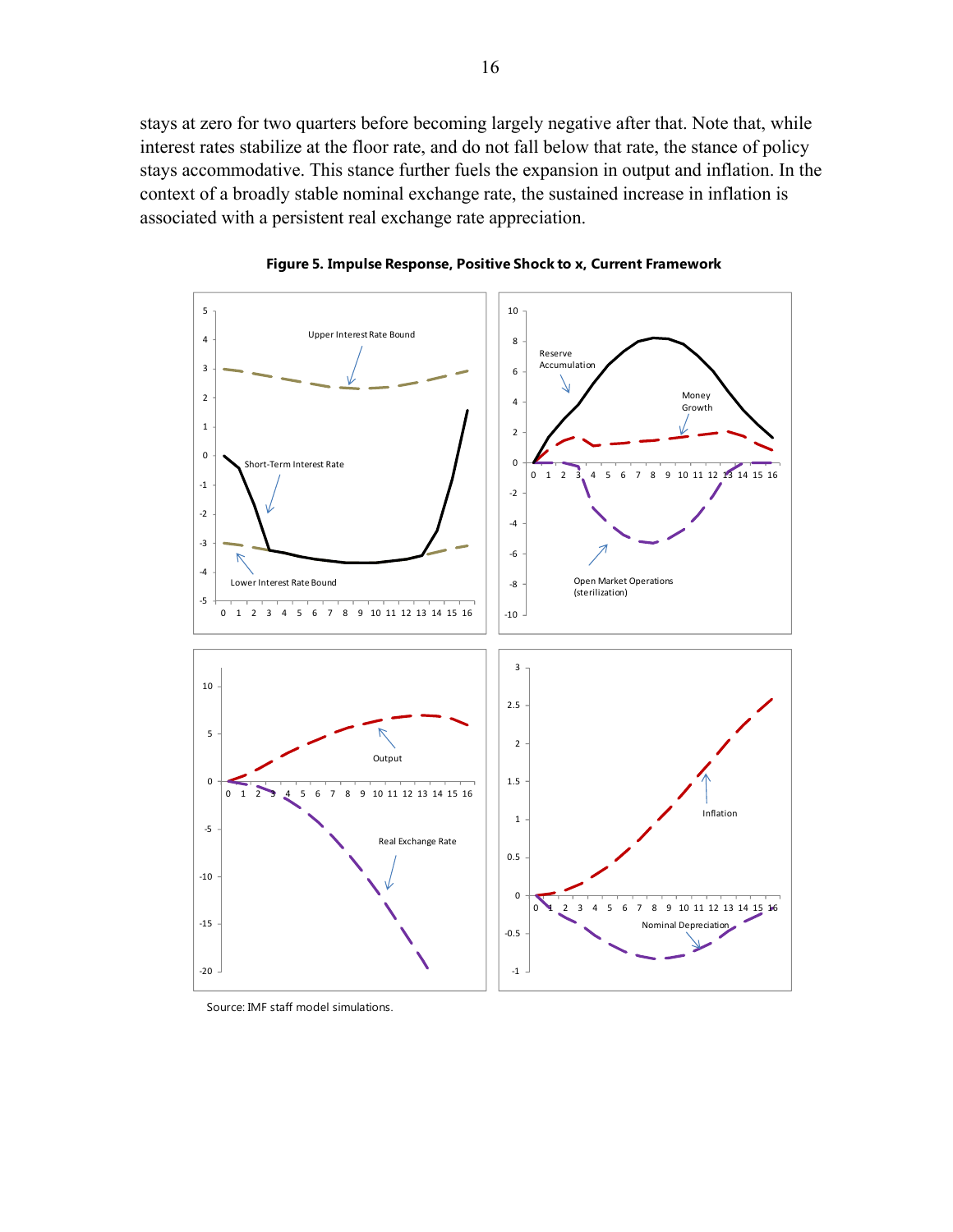stays at zero for two quarters before becoming largely negative after that. Note that, while interest rates stabilize at the floor rate, and do not fall below that rate, the stance of policy stays accommodative. This stance further fuels the expansion in output and inflation. In the context of a broadly stable nominal exchange rate, the sustained increase in inflation is associated with a persistent real exchange rate appreciation.





Source: IMF staff model simulations.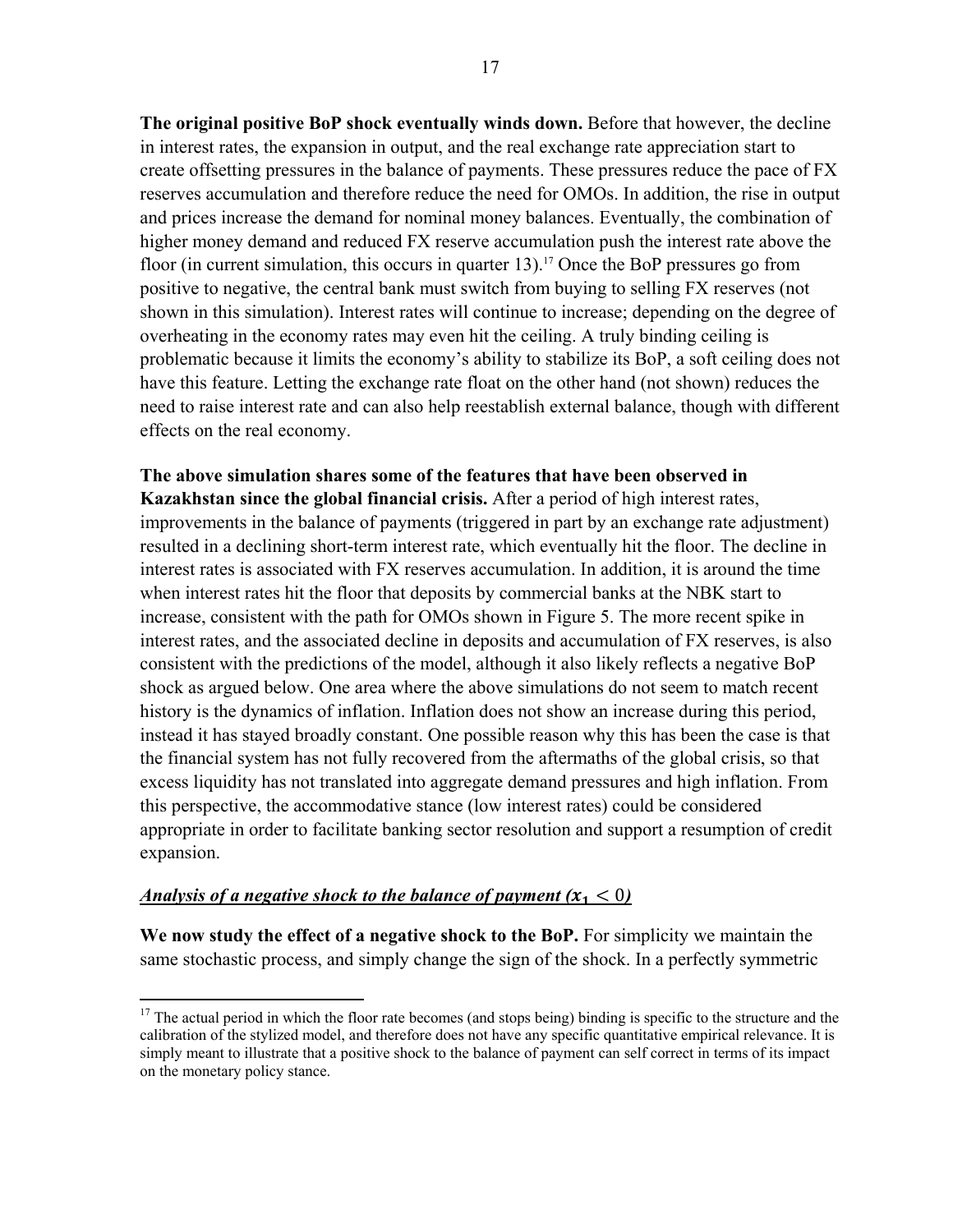**The original positive BoP shock eventually winds down.** Before that however, the decline in interest rates, the expansion in output, and the real exchange rate appreciation start to create offsetting pressures in the balance of payments. These pressures reduce the pace of FX reserves accumulation and therefore reduce the need for OMOs. In addition, the rise in output and prices increase the demand for nominal money balances. Eventually, the combination of higher money demand and reduced FX reserve accumulation push the interest rate above the floor (in current simulation, this occurs in quarter 13).<sup>17</sup> Once the BoP pressures go from positive to negative, the central bank must switch from buying to selling FX reserves (not shown in this simulation). Interest rates will continue to increase; depending on the degree of overheating in the economy rates may even hit the ceiling. A truly binding ceiling is problematic because it limits the economy's ability to stabilize its BoP, a soft ceiling does not have this feature. Letting the exchange rate float on the other hand (not shown) reduces the need to raise interest rate and can also help reestablish external balance, though with different effects on the real economy.

**The above simulation shares some of the features that have been observed in Kazakhstan since the global financial crisis.** After a period of high interest rates, improvements in the balance of payments (triggered in part by an exchange rate adjustment) resulted in a declining short-term interest rate, which eventually hit the floor. The decline in interest rates is associated with FX reserves accumulation. In addition, it is around the time when interest rates hit the floor that deposits by commercial banks at the NBK start to increase, consistent with the path for OMOs shown in Figure 5. The more recent spike in interest rates, and the associated decline in deposits and accumulation of FX reserves, is also consistent with the predictions of the model, although it also likely reflects a negative BoP shock as argued below. One area where the above simulations do not seem to match recent history is the dynamics of inflation. Inflation does not show an increase during this period, instead it has stayed broadly constant. One possible reason why this has been the case is that the financial system has not fully recovered from the aftermaths of the global crisis, so that excess liquidity has not translated into aggregate demand pressures and high inflation. From this perspective, the accommodative stance (low interest rates) could be considered appropriate in order to facilitate banking sector resolution and support a resumption of credit expansion.

# *Analysis of a negative shock to the balance of payment*  $(x_1 < 0)$

 $\overline{a}$ 

**We now study the effect of a negative shock to the BoP.** For simplicity we maintain the same stochastic process, and simply change the sign of the shock. In a perfectly symmetric

<sup>&</sup>lt;sup>17</sup> The actual period in which the floor rate becomes (and stops being) binding is specific to the structure and the calibration of the stylized model, and therefore does not have any specific quantitative empirical relevance. It is simply meant to illustrate that a positive shock to the balance of payment can self correct in terms of its impact on the monetary policy stance.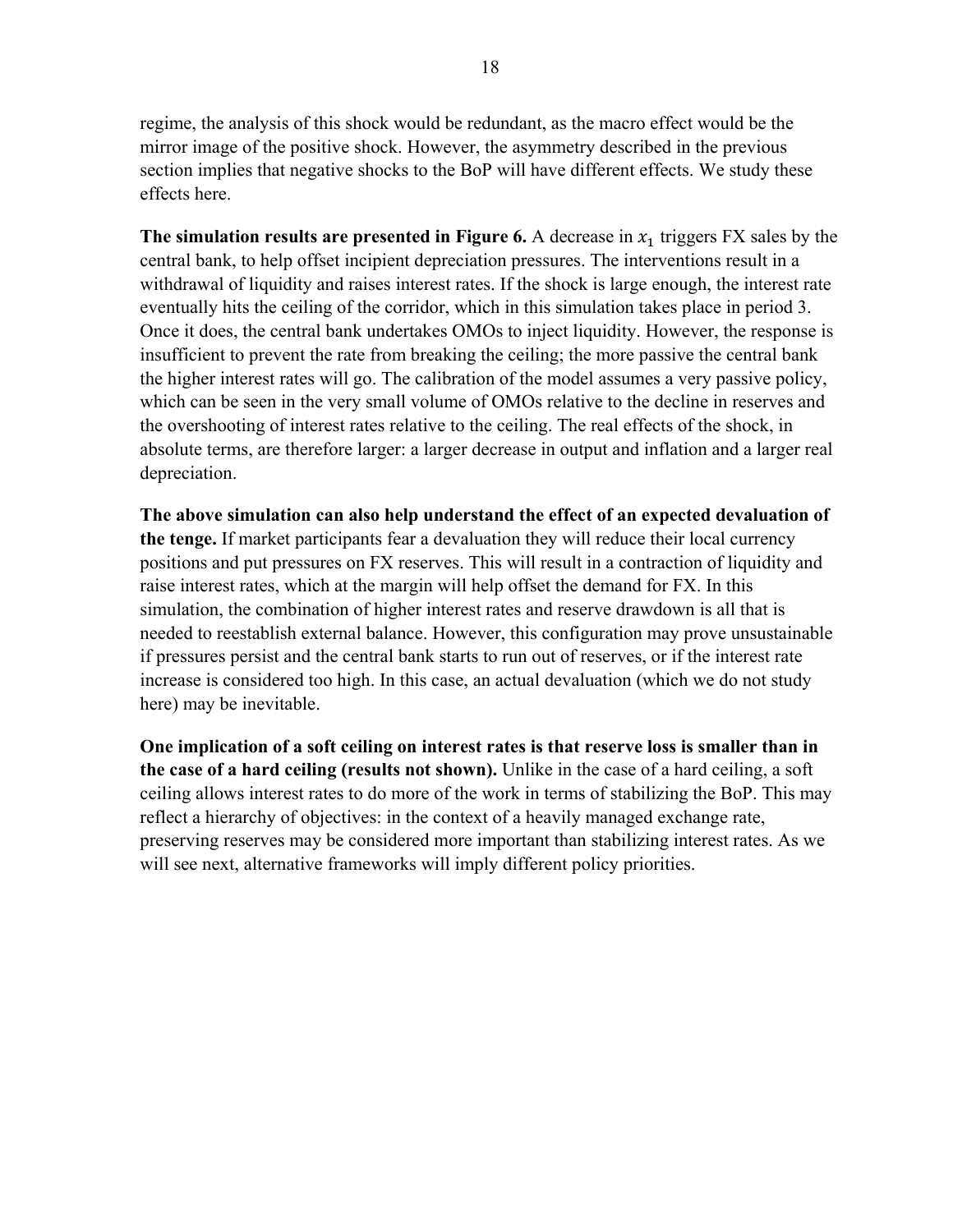regime, the analysis of this shock would be redundant, as the macro effect would be the mirror image of the positive shock. However, the asymmetry described in the previous section implies that negative shocks to the BoP will have different effects. We study these effects here.

**The simulation results are presented in Figure 6.** A decrease in  $x_1$  triggers FX sales by the central bank, to help offset incipient depreciation pressures. The interventions result in a withdrawal of liquidity and raises interest rates. If the shock is large enough, the interest rate eventually hits the ceiling of the corridor, which in this simulation takes place in period 3. Once it does, the central bank undertakes OMOs to inject liquidity. However, the response is insufficient to prevent the rate from breaking the ceiling; the more passive the central bank the higher interest rates will go. The calibration of the model assumes a very passive policy, which can be seen in the very small volume of OMOs relative to the decline in reserves and the overshooting of interest rates relative to the ceiling. The real effects of the shock, in absolute terms, are therefore larger: a larger decrease in output and inflation and a larger real depreciation.

**The above simulation can also help understand the effect of an expected devaluation of the tenge.** If market participants fear a devaluation they will reduce their local currency positions and put pressures on FX reserves. This will result in a contraction of liquidity and raise interest rates, which at the margin will help offset the demand for FX. In this simulation, the combination of higher interest rates and reserve drawdown is all that is needed to reestablish external balance. However, this configuration may prove unsustainable if pressures persist and the central bank starts to run out of reserves, or if the interest rate increase is considered too high. In this case, an actual devaluation (which we do not study here) may be inevitable.

**One implication of a soft ceiling on interest rates is that reserve loss is smaller than in the case of a hard ceiling (results not shown).** Unlike in the case of a hard ceiling, a soft ceiling allows interest rates to do more of the work in terms of stabilizing the BoP. This may reflect a hierarchy of objectives: in the context of a heavily managed exchange rate, preserving reserves may be considered more important than stabilizing interest rates. As we will see next, alternative frameworks will imply different policy priorities.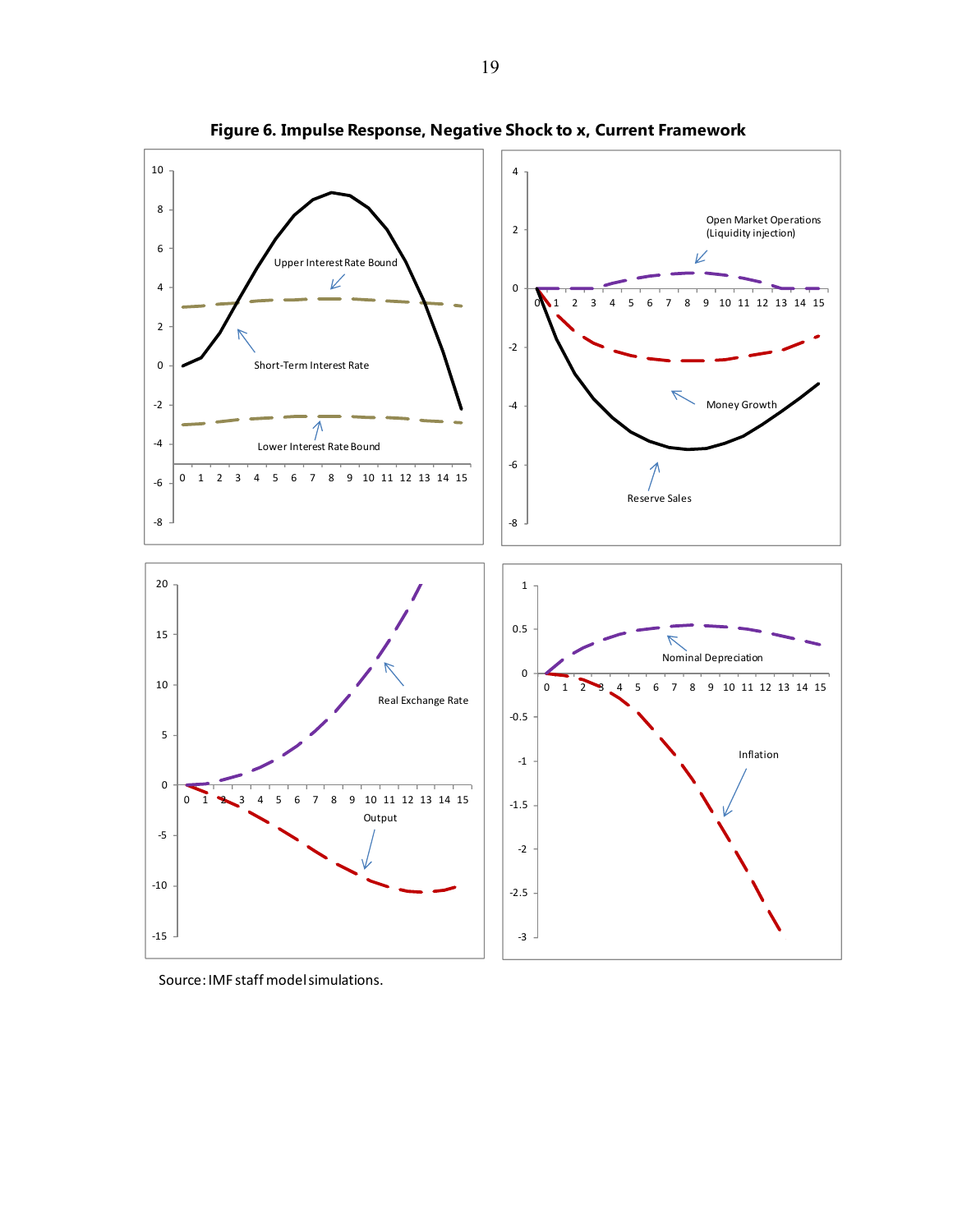

**Figure 6. Impulse Response, Negative Shock to x, Current Framework**

Source: IMF staff model simulations.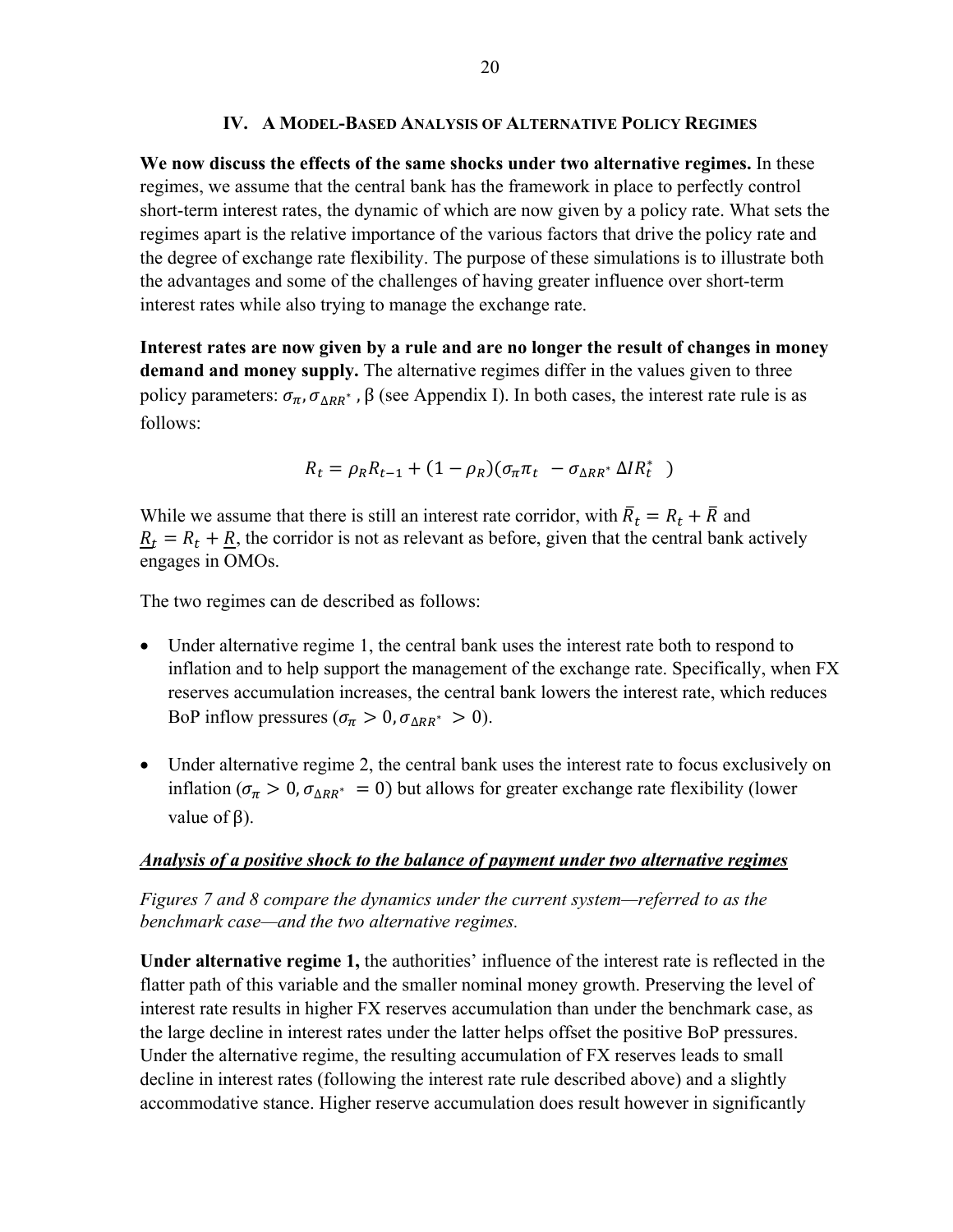## **IV. A MODEL-BASED ANALYSIS OF ALTERNATIVE POLICY REGIMES**

**We now discuss the effects of the same shocks under two alternative regimes.** In these regimes, we assume that the central bank has the framework in place to perfectly control short-term interest rates, the dynamic of which are now given by a policy rate. What sets the regimes apart is the relative importance of the various factors that drive the policy rate and the degree of exchange rate flexibility. The purpose of these simulations is to illustrate both the advantages and some of the challenges of having greater influence over short-term interest rates while also trying to manage the exchange rate.

**Interest rates are now given by a rule and are no longer the result of changes in money demand and money supply.** The alternative regimes differ in the values given to three policy parameters:  $\sigma_{\pi}$ ,  $\sigma_{\Delta RR^*}$ , β (see Appendix I). In both cases, the interest rate rule is as follows:

$$
R_t = \rho_R R_{t-1} + (1 - \rho_R)(\sigma_\pi \pi_t - \sigma_{\Delta RR^*} \Delta IR_t^*)
$$

While we assume that there is still an interest rate corridor, with  $\bar{R}_t = R_t + \bar{R}$  and  $R_t = R_t + R$ , the corridor is not as relevant as before, given that the central bank actively engages in OMOs.

The two regimes can de described as follows:

- Under alternative regime 1, the central bank uses the interest rate both to respond to inflation and to help support the management of the exchange rate. Specifically, when FX reserves accumulation increases, the central bank lowers the interest rate, which reduces BoP inflow pressures ( $\sigma_{\pi} > 0$ ,  $\sigma_{\Delta RR^*} > 0$ ).
- Under alternative regime 2, the central bank uses the interest rate to focus exclusively on inflation ( $\sigma_{\pi} > 0$ ,  $\sigma_{\Delta RR^*} = 0$ ) but allows for greater exchange rate flexibility (lower value of  $\beta$ ).

## *Analysis of a positive shock to the balance of payment under two alternative regimes*

*Figures 7 and 8 compare the dynamics under the current system—referred to as the benchmark case—and the two alternative regimes.* 

**Under alternative regime 1,** the authorities' influence of the interest rate is reflected in the flatter path of this variable and the smaller nominal money growth. Preserving the level of interest rate results in higher FX reserves accumulation than under the benchmark case, as the large decline in interest rates under the latter helps offset the positive BoP pressures. Under the alternative regime, the resulting accumulation of FX reserves leads to small decline in interest rates (following the interest rate rule described above) and a slightly accommodative stance. Higher reserve accumulation does result however in significantly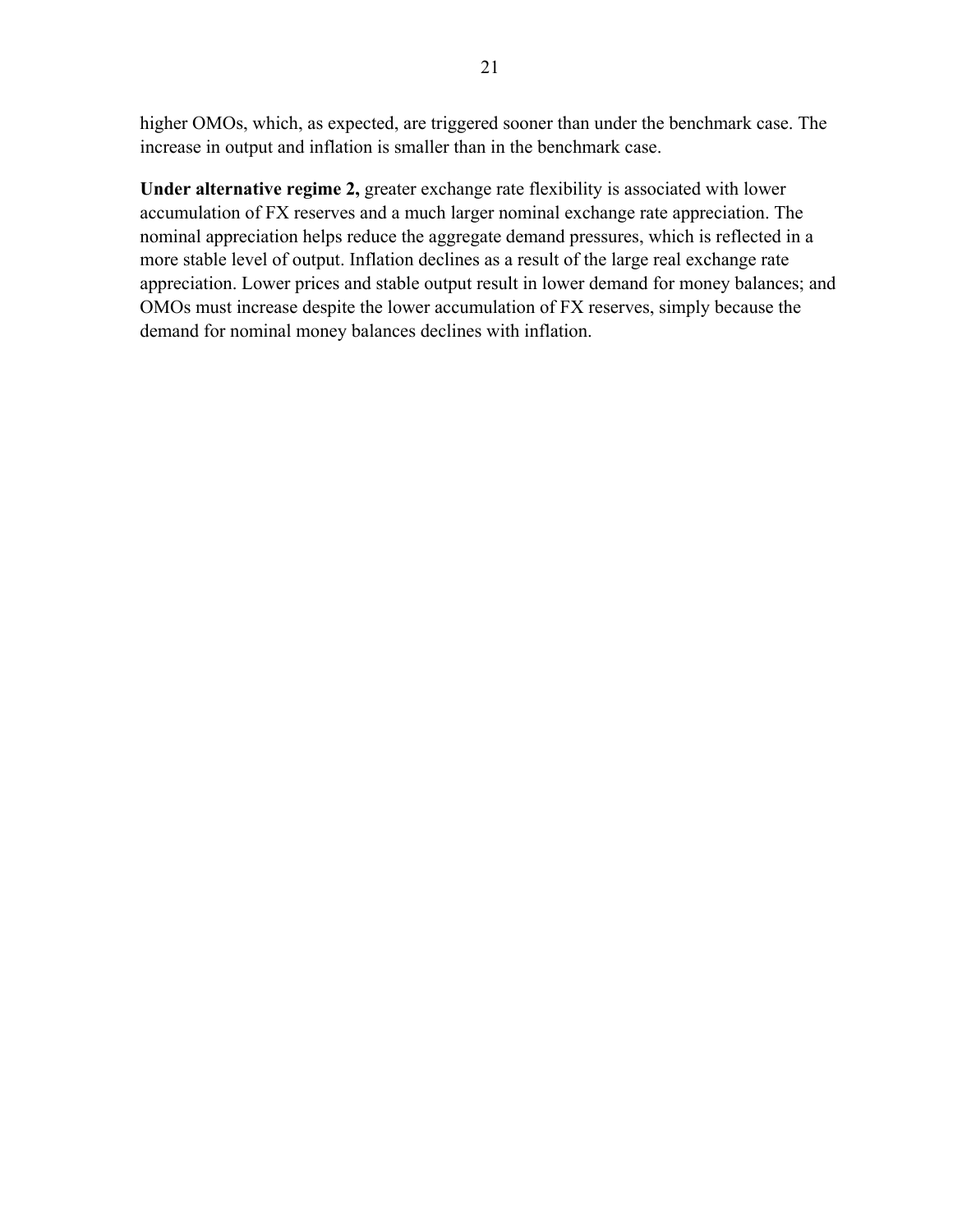higher OMOs, which, as expected, are triggered sooner than under the benchmark case. The increase in output and inflation is smaller than in the benchmark case.

**Under alternative regime 2,** greater exchange rate flexibility is associated with lower accumulation of FX reserves and a much larger nominal exchange rate appreciation. The nominal appreciation helps reduce the aggregate demand pressures, which is reflected in a more stable level of output. Inflation declines as a result of the large real exchange rate appreciation. Lower prices and stable output result in lower demand for money balances; and OMOs must increase despite the lower accumulation of FX reserves, simply because the demand for nominal money balances declines with inflation.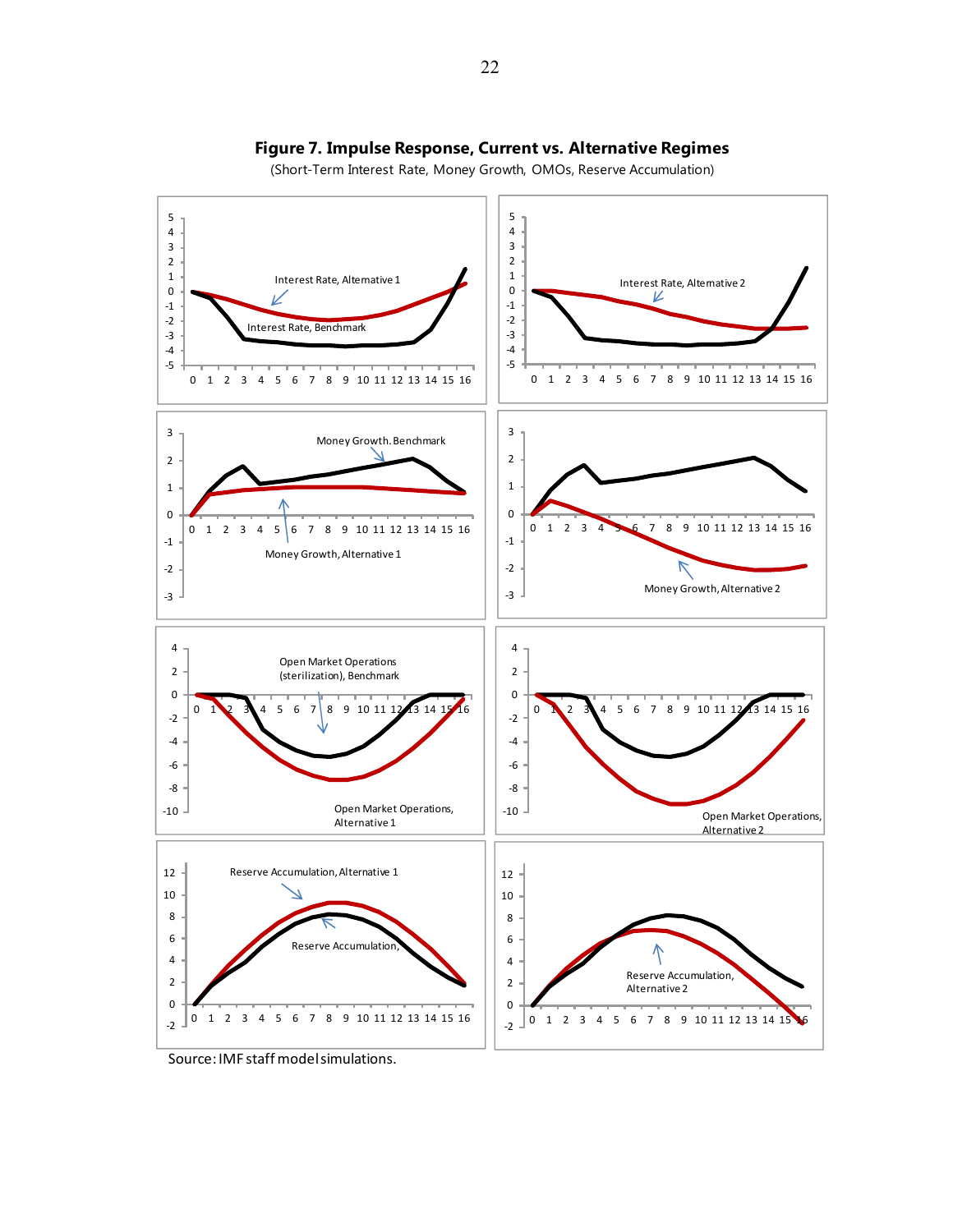

## **Figure 7. Impulse Response, Current vs. Alternative Regimes**

(Short-Term Interest Rate, Money Growth, OMOs, Reserve Accumulation)

Source: IMF staff model simulations.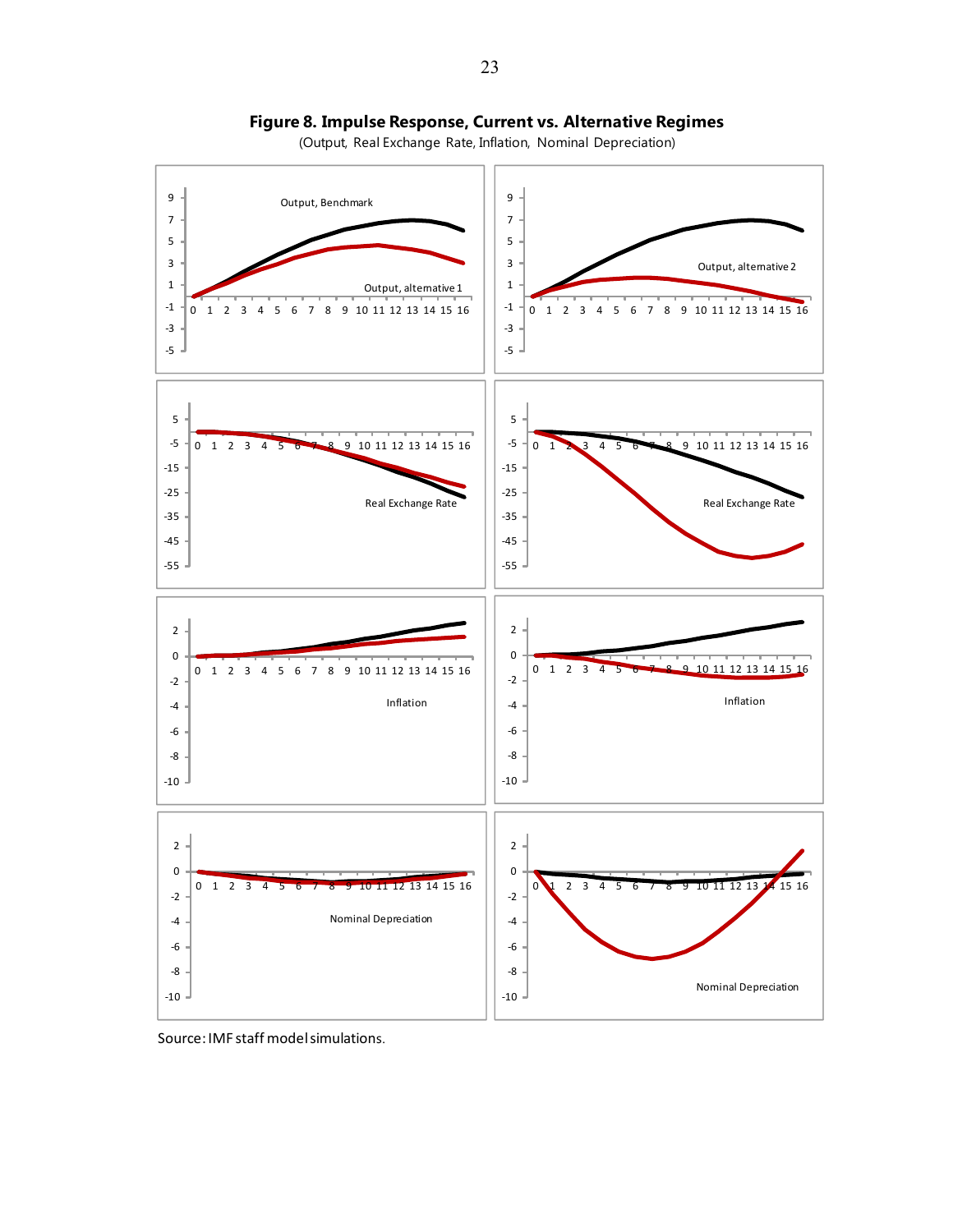

**Figure 8. Impulse Response, Current vs. Alternative Regimes**

(Output, Real Exchange Rate, Inflation, Nominal Depreciation)

Source: IMF staff model simulations.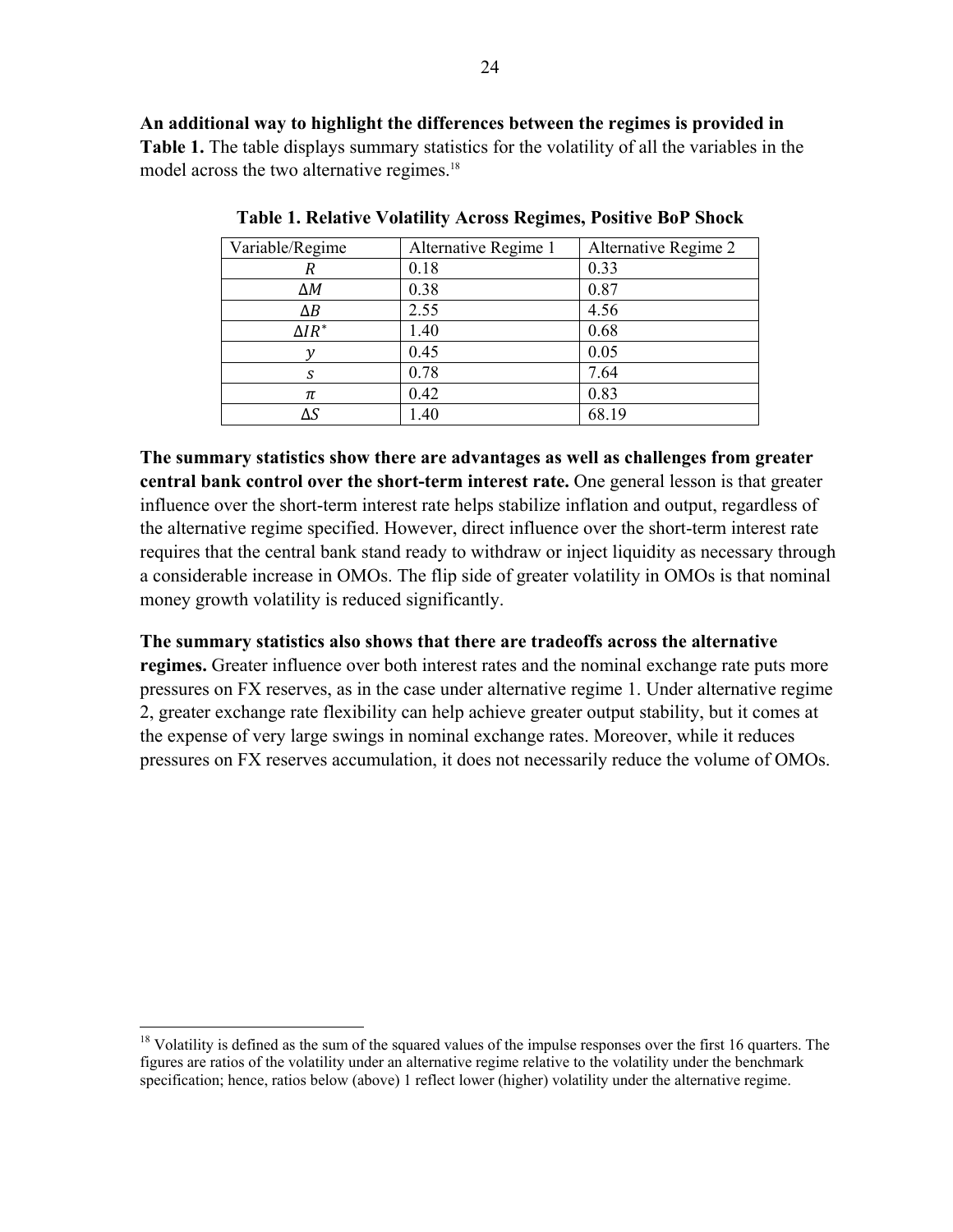**An additional way to highlight the differences between the regimes is provided in Table 1.** The table displays summary statistics for the volatility of all the variables in the model across the two alternative regimes.<sup>18</sup>

| Variable/Regime | Alternative Regime 1 | Alternative Regime 2 |
|-----------------|----------------------|----------------------|
| R               | 0.18                 | 0.33                 |
| $\Delta M$      | 0.38                 | 0.87                 |
| $\Delta B$      | 2.55                 | 4.56                 |
| $\Delta IR^*$   | 1.40                 | 0.68                 |
|                 | 0.45                 | 0.05                 |
| S               | 0.78                 | 7.64                 |
| π               | 0.42                 | 0.83                 |
|                 | 1.40                 | 68.19                |

**Table 1. Relative Volatility Across Regimes, Positive BoP Shock** 

**The summary statistics show there are advantages as well as challenges from greater central bank control over the short-term interest rate.** One general lesson is that greater influence over the short-term interest rate helps stabilize inflation and output, regardless of the alternative regime specified. However, direct influence over the short-term interest rate requires that the central bank stand ready to withdraw or inject liquidity as necessary through a considerable increase in OMOs. The flip side of greater volatility in OMOs is that nominal money growth volatility is reduced significantly.

## **The summary statistics also shows that there are tradeoffs across the alternative**

**regimes.** Greater influence over both interest rates and the nominal exchange rate puts more pressures on FX reserves, as in the case under alternative regime 1. Under alternative regime 2, greater exchange rate flexibility can help achieve greater output stability, but it comes at the expense of very large swings in nominal exchange rates. Moreover, while it reduces pressures on FX reserves accumulation, it does not necessarily reduce the volume of OMOs.

 $18$  Volatility is defined as the sum of the squared values of the impulse responses over the first 16 quarters. The figures are ratios of the volatility under an alternative regime relative to the volatility under the benchmark specification; hence, ratios below (above) 1 reflect lower (higher) volatility under the alternative regime.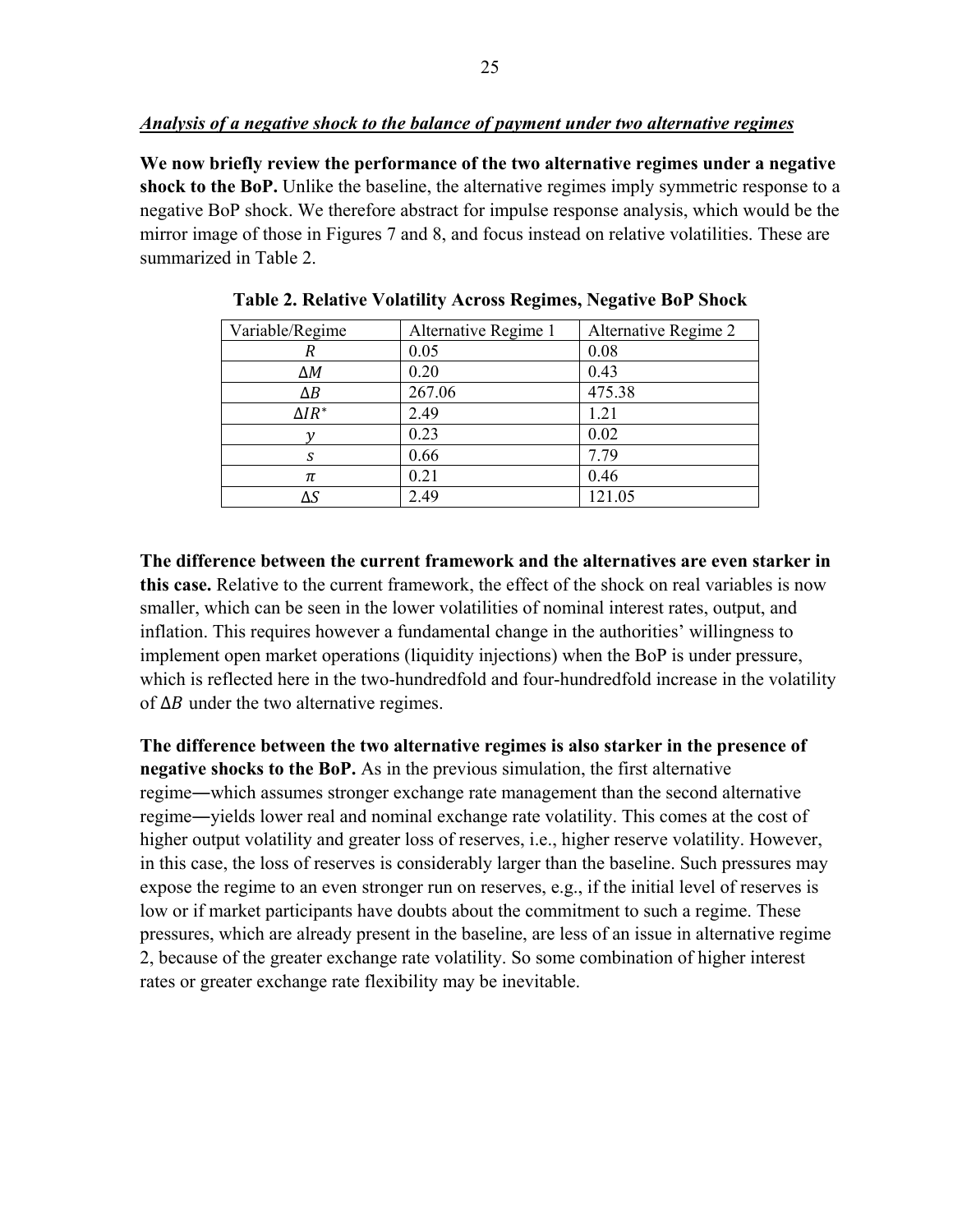## *Analysis of a negative shock to the balance of payment under two alternative regimes*

**We now briefly review the performance of the two alternative regimes under a negative shock to the BoP.** Unlike the baseline, the alternative regimes imply symmetric response to a negative BoP shock. We therefore abstract for impulse response analysis, which would be the mirror image of those in Figures 7 and 8, and focus instead on relative volatilities. These are summarized in Table 2.

| Variable/Regime | Alternative Regime 1 | Alternative Regime 2 |
|-----------------|----------------------|----------------------|
| R               | 0.05                 | 0.08                 |
| ΔΜ              | 0.20                 | 0.43                 |
| $\Delta B$      | 267.06               | 475.38               |
| $\Delta IR^*$   | 2.49                 | 1.21                 |
|                 | 0.23                 | 0.02                 |
| S               | 0.66                 | 7.79                 |
| π               | 0.21                 | 0.46                 |
| ΔS              | 2.49                 | 121.05               |

**Table 2. Relative Volatility Across Regimes, Negative BoP Shock** 

**The difference between the current framework and the alternatives are even starker in this case.** Relative to the current framework, the effect of the shock on real variables is now smaller, which can be seen in the lower volatilities of nominal interest rates, output, and inflation. This requires however a fundamental change in the authorities' willingness to implement open market operations (liquidity injections) when the BoP is under pressure, which is reflected here in the two-hundredfold and four-hundredfold increase in the volatility of  $\Delta B$  under the two alternative regimes.

**The difference between the two alternative regimes is also starker in the presence of negative shocks to the BoP.** As in the previous simulation, the first alternative regime―which assumes stronger exchange rate management than the second alternative regime―yields lower real and nominal exchange rate volatility. This comes at the cost of higher output volatility and greater loss of reserves, i.e., higher reserve volatility. However, in this case, the loss of reserves is considerably larger than the baseline. Such pressures may expose the regime to an even stronger run on reserves, e.g., if the initial level of reserves is low or if market participants have doubts about the commitment to such a regime. These pressures, which are already present in the baseline, are less of an issue in alternative regime 2, because of the greater exchange rate volatility. So some combination of higher interest rates or greater exchange rate flexibility may be inevitable.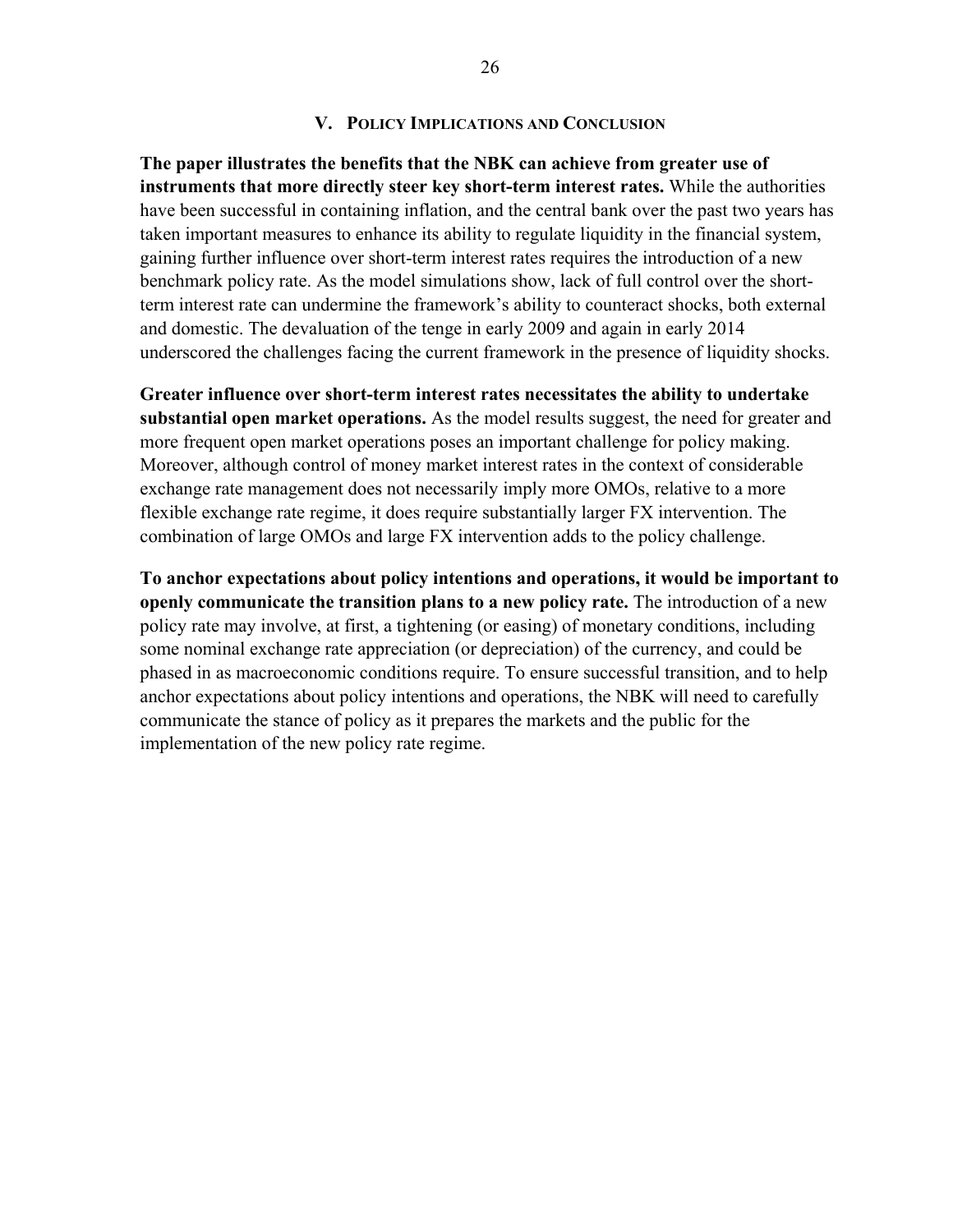## **V. POLICY IMPLICATIONS AND CONCLUSION**

**The paper illustrates the benefits that the NBK can achieve from greater use of instruments that more directly steer key short-term interest rates.** While the authorities have been successful in containing inflation, and the central bank over the past two years has taken important measures to enhance its ability to regulate liquidity in the financial system, gaining further influence over short-term interest rates requires the introduction of a new benchmark policy rate. As the model simulations show, lack of full control over the shortterm interest rate can undermine the framework's ability to counteract shocks, both external and domestic. The devaluation of the tenge in early 2009 and again in early 2014 underscored the challenges facing the current framework in the presence of liquidity shocks.

**Greater influence over short-term interest rates necessitates the ability to undertake substantial open market operations.** As the model results suggest, the need for greater and more frequent open market operations poses an important challenge for policy making. Moreover, although control of money market interest rates in the context of considerable exchange rate management does not necessarily imply more OMOs, relative to a more flexible exchange rate regime, it does require substantially larger FX intervention. The combination of large OMOs and large FX intervention adds to the policy challenge.

**To anchor expectations about policy intentions and operations, it would be important to openly communicate the transition plans to a new policy rate.** The introduction of a new policy rate may involve, at first, a tightening (or easing) of monetary conditions, including some nominal exchange rate appreciation (or depreciation) of the currency, and could be phased in as macroeconomic conditions require. To ensure successful transition, and to help anchor expectations about policy intentions and operations, the NBK will need to carefully communicate the stance of policy as it prepares the markets and the public for the implementation of the new policy rate regime.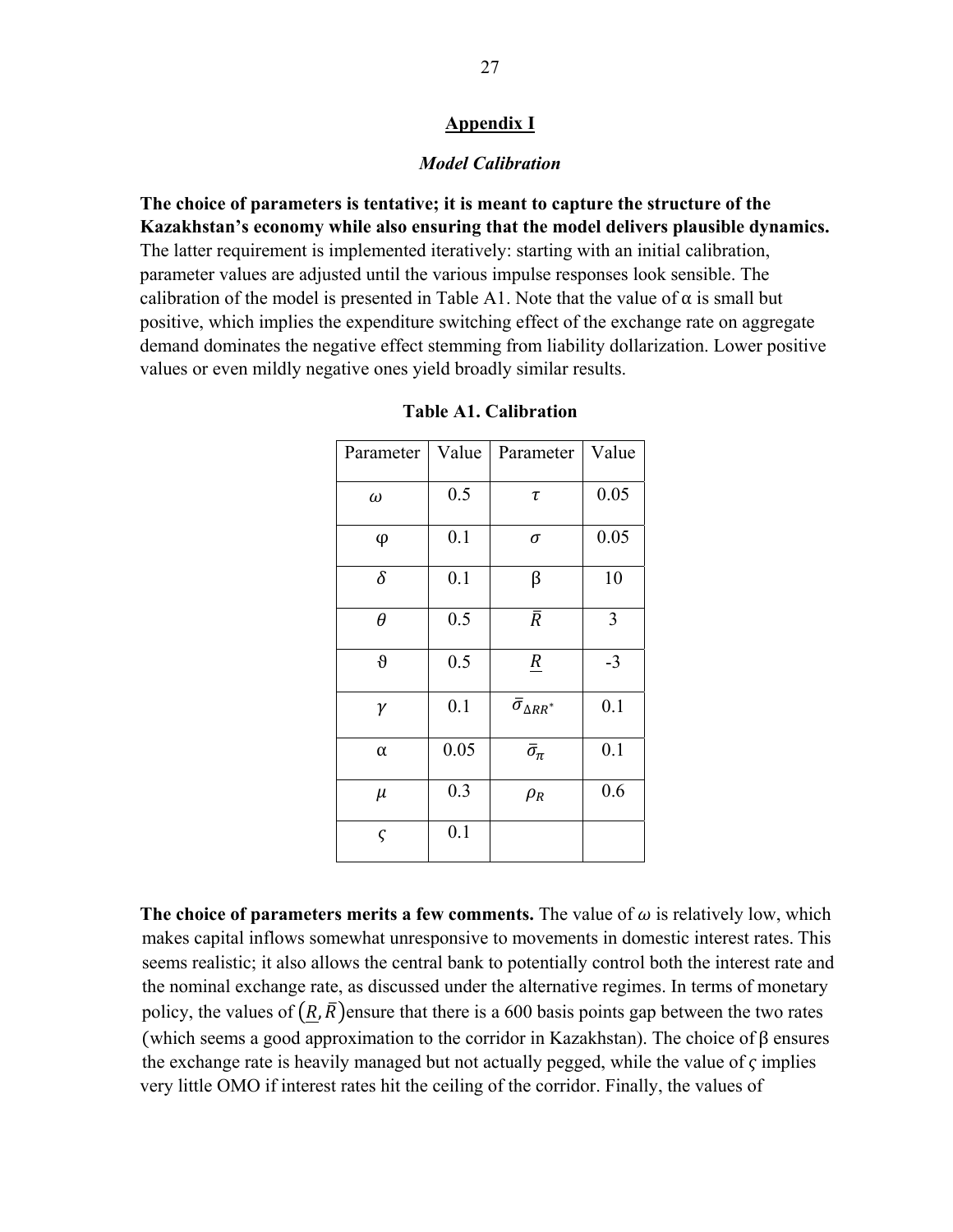## **Appendix I**

## *Model Calibration*

**The choice of parameters is tentative; it is meant to capture the structure of the Kazakhstan's economy while also ensuring that the model delivers plausible dynamics.** The latter requirement is implemented iteratively: starting with an initial calibration, parameter values are adjusted until the various impulse responses look sensible. The calibration of the model is presented in Table A1. Note that the value of  $\alpha$  is small but positive, which implies the expenditure switching effect of the exchange rate on aggregate demand dominates the negative effect stemming from liability dollarization. Lower positive values or even mildly negative ones yield broadly similar results.

| Parameter   | Value | Parameter                    | Value |
|-------------|-------|------------------------------|-------|
| $\omega$    | 0.5   | τ                            | 0.05  |
| φ           | 0.1   | σ                            | 0.05  |
| $\delta$    | 0.1   | β                            | 10    |
| $\theta$    | 0.5   | $\bar{R}$                    | 3     |
| $\vartheta$ | 0.5   | $\underline{R}$              | $-3$  |
| γ           | 0.1   | $\bar{\sigma}_{\Delta RR^*}$ | 0.1   |
| α           | 0.05  | $\bar{\sigma}_{\pi}$         | 0.1   |
| μ           | 0.3   | $\rho_R$                     | 0.6   |
| $\varsigma$ | 0.1   |                              |       |

|  | <b>Table A1. Calibration</b> |
|--|------------------------------|
|--|------------------------------|

The choice of parameters merits a few comments. The value of  $\omega$  is relatively low, which makes capital inflows somewhat unresponsive to movements in domestic interest rates. This seems realistic; it also allows the central bank to potentially control both the interest rate and the nominal exchange rate, as discussed under the alternative regimes. In terms of monetary policy, the values of  $(R, \overline{R})$ ensure that there is a 600 basis points gap between the two rates (which seems a good approximation to the corridor in Kazakhstan). The choice of  $\beta$  ensures the exchange rate is heavily managed but not actually pegged, while the value of  $\varsigma$  implies very little OMO if interest rates hit the ceiling of the corridor. Finally, the values of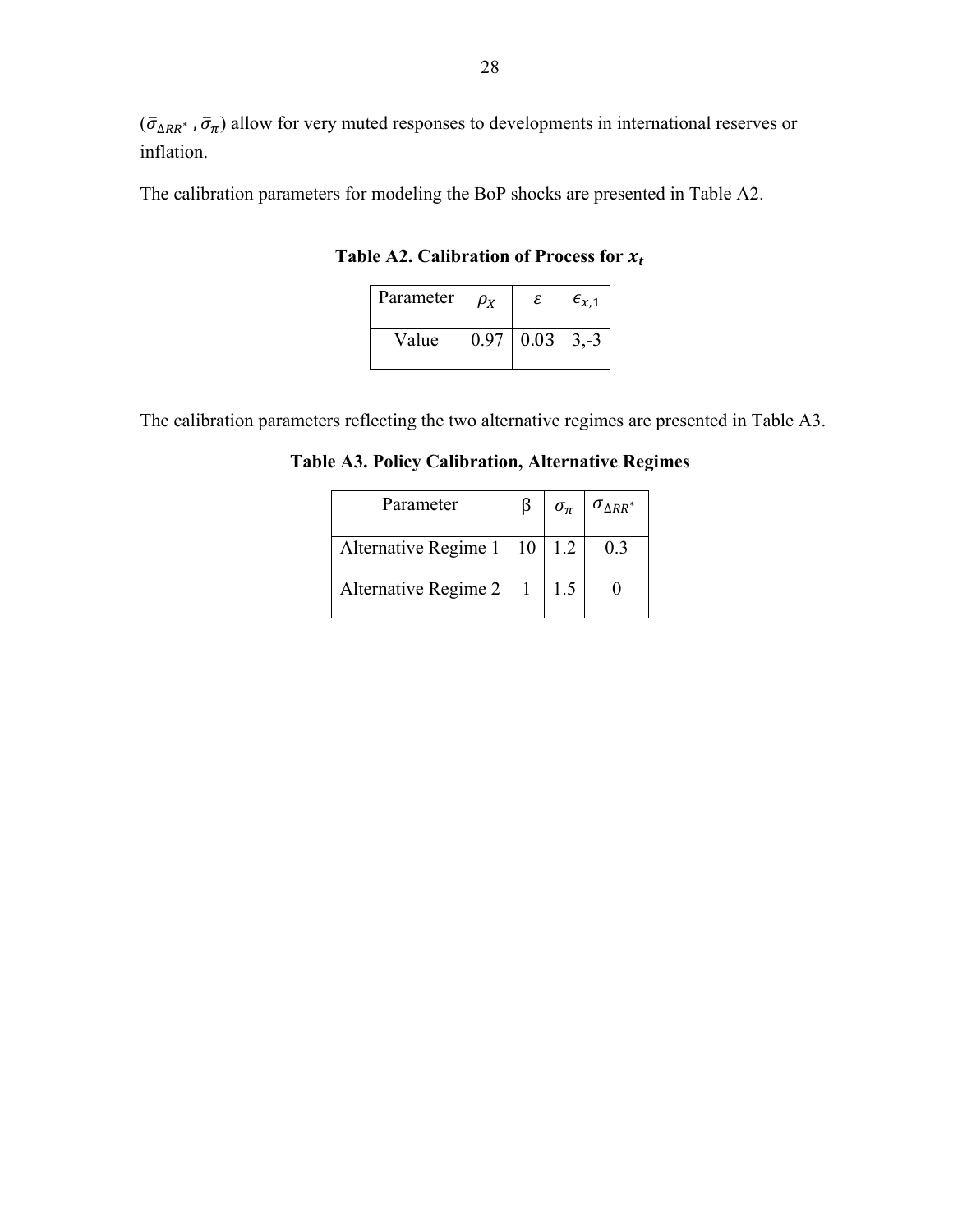$(\bar{\sigma}_{\Delta RR^*}, \bar{\sigma}_{\pi})$  allow for very muted responses to developments in international reserves or inflation.

The calibration parameters for modeling the BoP shocks are presented in Table A2.

Table A2. Calibration of Process for  $x_t$ 

| Parameter | $\rho_{\scriptscriptstyle{X}}$ | ε                | $\epsilon_{x,1}$ |
|-----------|--------------------------------|------------------|------------------|
| Value     | 0.97                           | $0.03 \mid 3,-3$ |                  |

The calibration parameters reflecting the two alternative regimes are presented in Table A3.

**Table A3. Policy Calibration, Alternative Regimes** 

| Parameter                       | $\sigma_{\pi}$ | $\sigma_{\Delta RR^*}$ |
|---------------------------------|----------------|------------------------|
| Alternative Regime 1   10   1.2 |                | 0.3                    |
| Alternative Regime 2   1        | 1.5            |                        |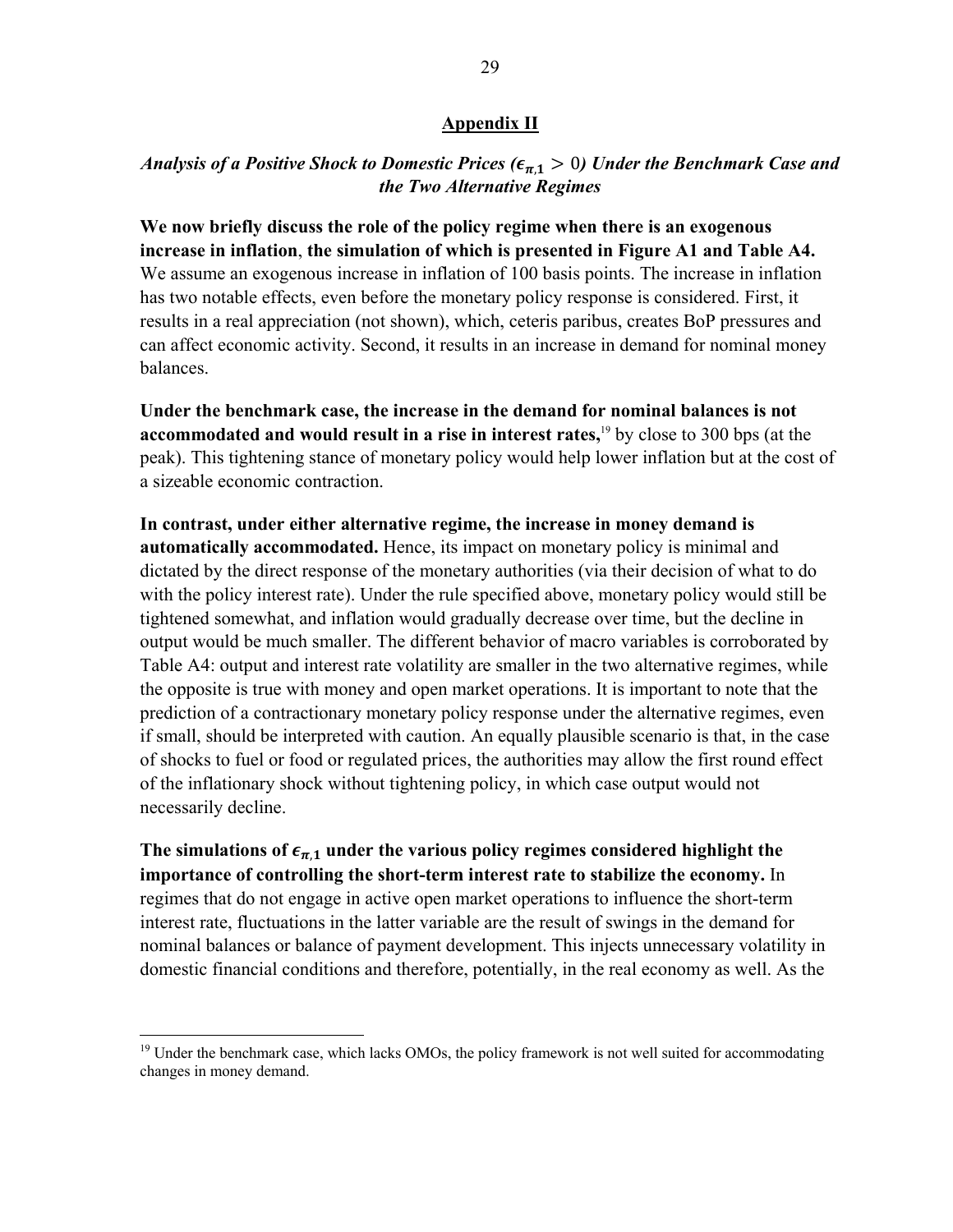## **Appendix II**

## *Analysis of a Positive Shock to Domestic Prices (* $\epsilon_{\pi,1} > 0$ ) *Under the Benchmark Case and the Two Alternative Regimes*

**We now briefly discuss the role of the policy regime when there is an exogenous increase in inflation**, **the simulation of which is presented in Figure A1 and Table A4.** We assume an exogenous increase in inflation of 100 basis points. The increase in inflation has two notable effects, even before the monetary policy response is considered. First, it results in a real appreciation (not shown), which, ceteris paribus, creates BoP pressures and can affect economic activity. Second, it results in an increase in demand for nominal money balances.

**Under the benchmark case, the increase in the demand for nominal balances is not accommodated and would result in a rise in interest rates,**<sup>19</sup> by close to 300 bps (at the peak). This tightening stance of monetary policy would help lower inflation but at the cost of a sizeable economic contraction.

**In contrast, under either alternative regime, the increase in money demand is automatically accommodated.** Hence, its impact on monetary policy is minimal and dictated by the direct response of the monetary authorities (via their decision of what to do with the policy interest rate). Under the rule specified above, monetary policy would still be tightened somewhat, and inflation would gradually decrease over time, but the decline in output would be much smaller. The different behavior of macro variables is corroborated by Table A4: output and interest rate volatility are smaller in the two alternative regimes, while the opposite is true with money and open market operations. It is important to note that the prediction of a contractionary monetary policy response under the alternative regimes, even if small, should be interpreted with caution. An equally plausible scenario is that, in the case of shocks to fuel or food or regulated prices, the authorities may allow the first round effect of the inflationary shock without tightening policy, in which case output would not necessarily decline.

The simulations of  $\epsilon_{\pi,1}$  under the various policy regimes considered highlight the **importance of controlling the short-term interest rate to stabilize the economy.** In regimes that do not engage in active open market operations to influence the short-term interest rate, fluctuations in the latter variable are the result of swings in the demand for nominal balances or balance of payment development. This injects unnecessary volatility in domestic financial conditions and therefore, potentially, in the real economy as well. As the

<sup>&</sup>lt;sup>19</sup> Under the benchmark case, which lacks OMOs, the policy framework is not well suited for accommodating changes in money demand.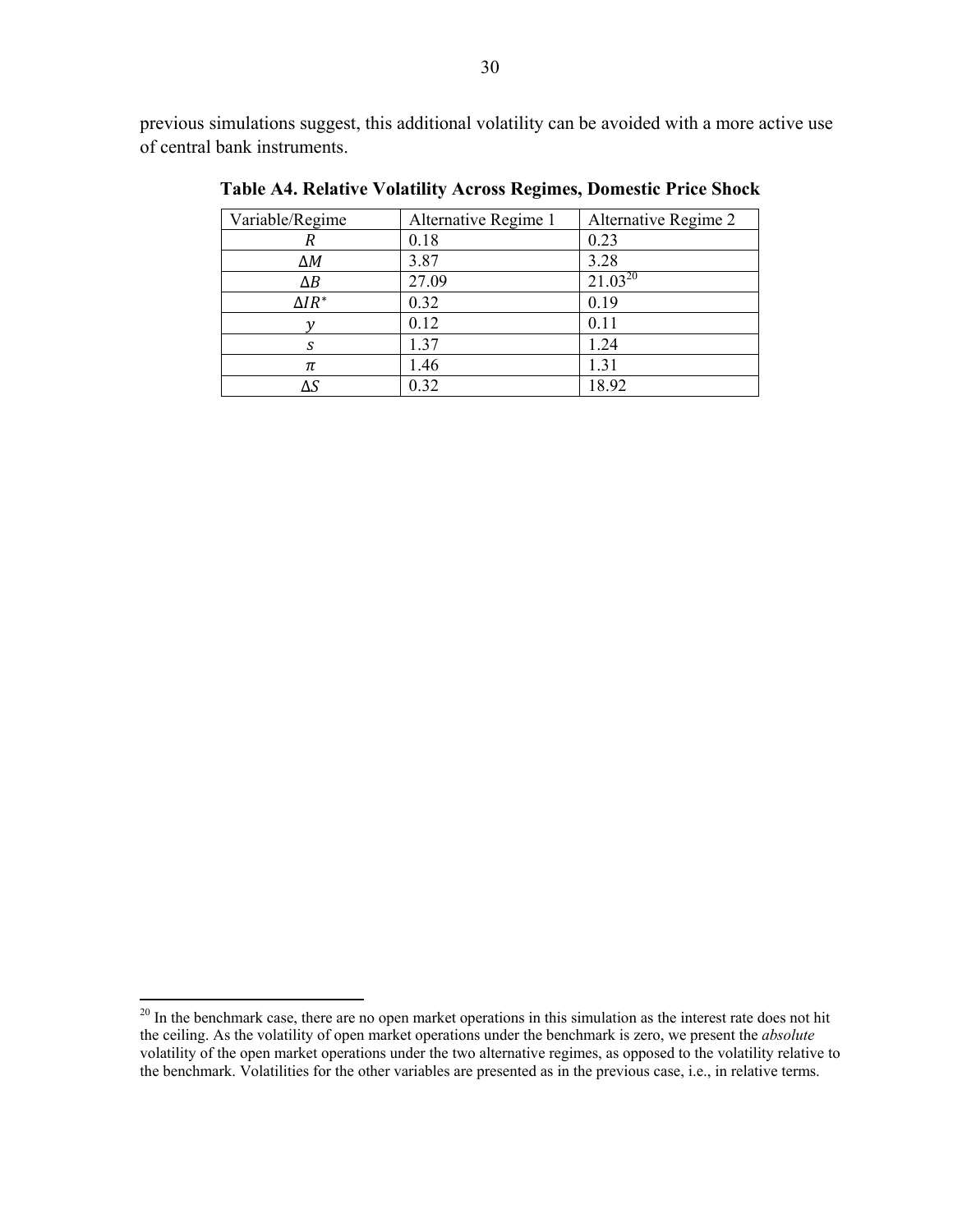previous simulations suggest, this additional volatility can be avoided with a more active use of central bank instruments.

| Variable/Regime | Alternative Regime 1 | Alternative Regime 2 |
|-----------------|----------------------|----------------------|
| R               | 0.18                 | 0.23                 |
| ΔΜ              | 3.87                 | 3.28                 |
| $\Delta B$      | 27.09                | $21.03^{20}$         |
| $\Delta IR^*$   | 0.32                 | 0.19                 |
|                 | 0.12                 | 0.11                 |
| S               | 1.37                 | 1.24                 |
| π               | 1.46                 | 1.31                 |
|                 | 0.32                 | 18.92                |

**Table A4. Relative Volatility Across Regimes, Domestic Price Shock** 

 $20$  In the benchmark case, there are no open market operations in this simulation as the interest rate does not hit the ceiling. As the volatility of open market operations under the benchmark is zero, we present the *absolute* volatility of the open market operations under the two alternative regimes, as opposed to the volatility relative to the benchmark. Volatilities for the other variables are presented as in the previous case, i.e., in relative terms.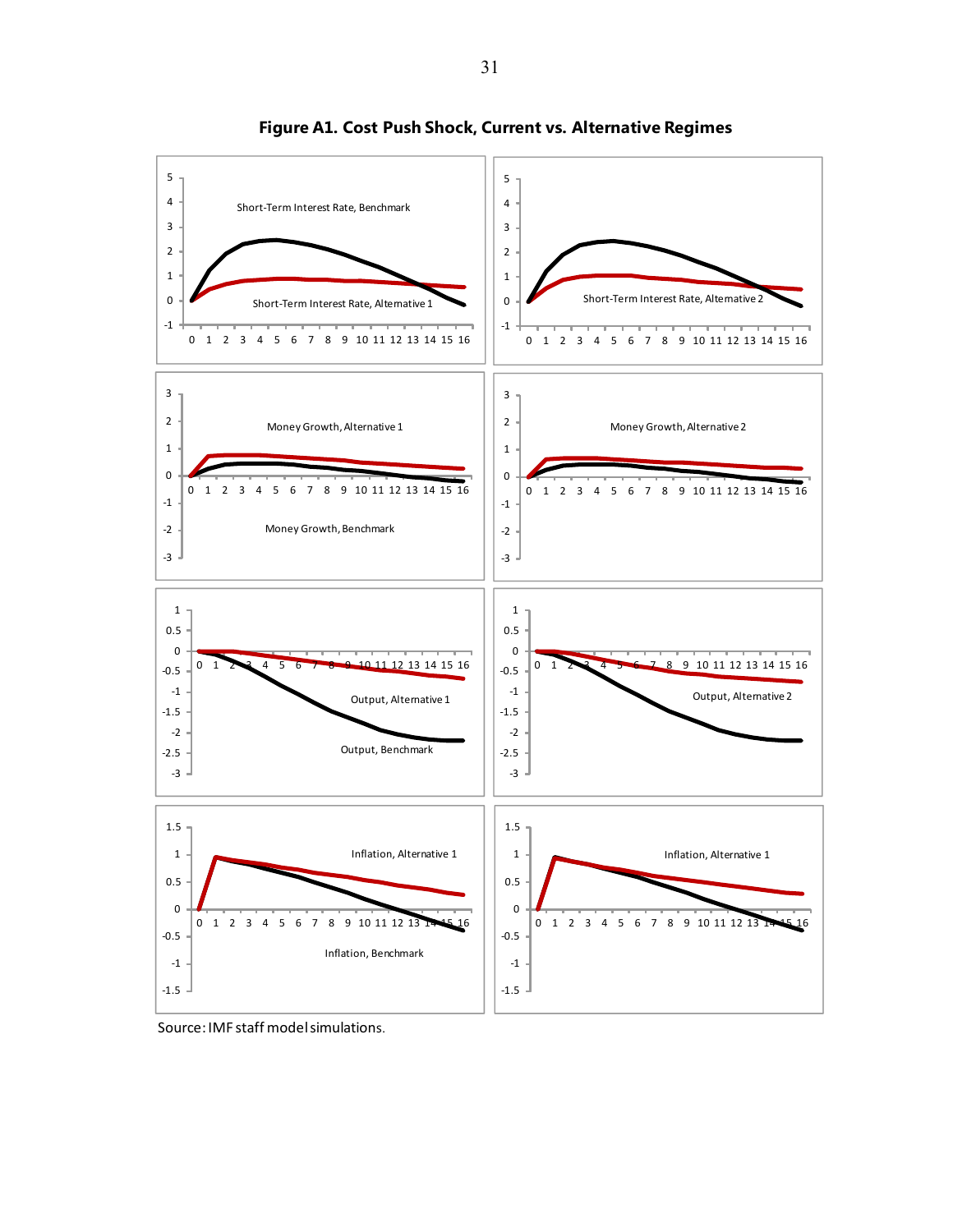

**Figure A1. Cost Push Shock, Current vs. Alternative Regimes**

Source: IMF staff model simulations.